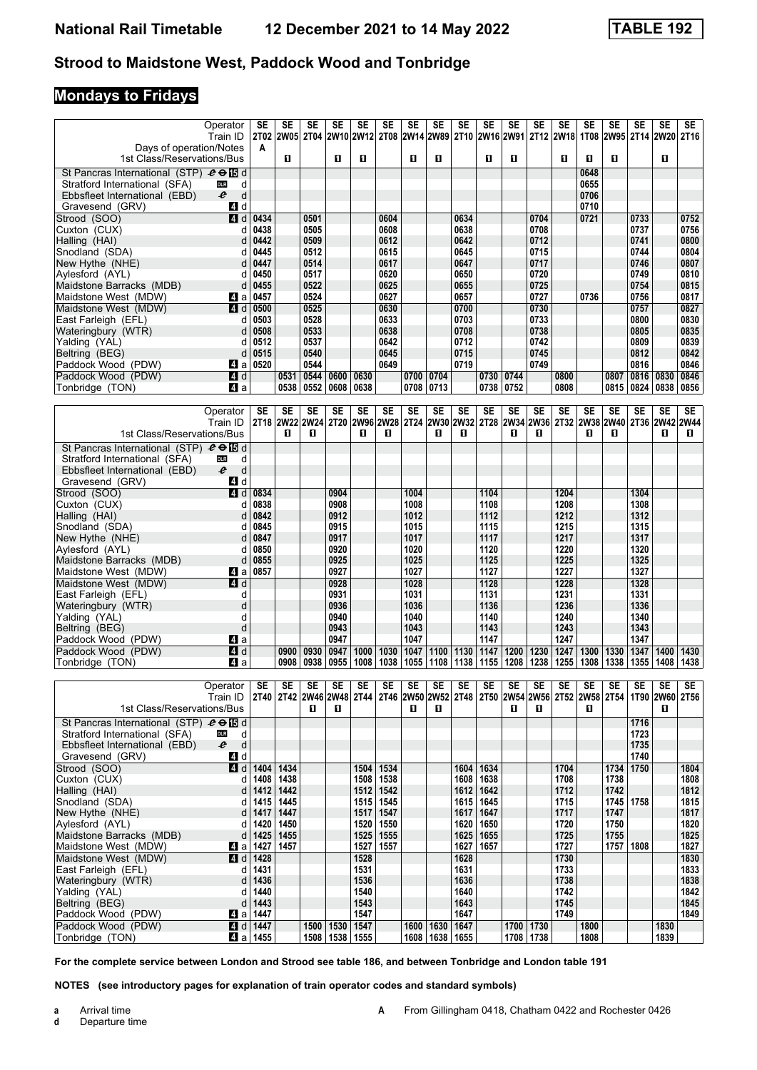### **Mondays to Fridays**

| Operator                                                                                                  | SE                      | SE                     | <b>SE</b>                | <b>SE</b>          | $\overline{\text{SE}}$<br>2W10 2W12 | $\overline{\text{SE}}$ | <b>SE</b>    | <b>SE</b><br>2T08 2W14 2W89 2T10 2W16 2W91 2T12 2W18 | <b>SE</b>         | <b>SE</b>    | <b>SE</b>              | <b>SE</b>                | $\overline{\text{SE}}$ | $\overline{\text{SE}}$<br>1T08 | $\overline{\text{SE}}$ | $\overline{\text{SE}}$ | <b>SE</b><br>2W95 2T14 2W20 | <b>SE</b>                |
|-----------------------------------------------------------------------------------------------------------|-------------------------|------------------------|--------------------------|--------------------|-------------------------------------|------------------------|--------------|------------------------------------------------------|-------------------|--------------|------------------------|--------------------------|------------------------|--------------------------------|------------------------|------------------------|-----------------------------|--------------------------|
| Train ID<br>Days of operation/Notes                                                                       | 2T02<br>A               | 2W05 2T04              |                          |                    |                                     |                        |              |                                                      |                   |              |                        |                          |                        |                                |                        |                        |                             | <b>2T16</b>              |
| 1st Class/Reservations/Bus                                                                                |                         | п                      |                          | П                  | O                                   |                        | п            | O                                                    |                   | п            | O.                     |                          | п                      | 0                              | п                      |                        | п                           |                          |
| St Pancras International (STP) $e \oplus \boxtimes d$<br>Stratford International (SFA)<br><b>DLR</b><br>d |                         |                        |                          |                    |                                     |                        |              |                                                      |                   |              |                        |                          |                        | 0648<br>0655                   |                        |                        |                             |                          |
| e<br>d<br>Ebbsfleet International (EBD)                                                                   |                         |                        |                          |                    |                                     |                        |              |                                                      |                   |              |                        |                          |                        | 0706                           |                        |                        |                             |                          |
| Gravesend (GRV)<br>4 d                                                                                    |                         |                        |                          |                    |                                     |                        |              |                                                      |                   |              |                        |                          |                        | 0710                           |                        |                        |                             |                          |
| $\overline{A}$ d<br>Strood (SOO)<br>Cuxton (CUX)                                                          | 0434<br>0438            |                        | 0501<br>0505             |                    |                                     | 0604<br>0608           |              |                                                      | 0634<br>0638      |              |                        | 0704<br>0708             |                        | 0721                           |                        | 0733<br>0737           |                             | 0752<br>0756             |
| d<br>Halling (HAI)<br>d                                                                                   | 0442                    |                        | 0509                     |                    |                                     | 0612                   |              |                                                      | 0642              |              |                        | 0712                     |                        |                                |                        | 0741                   |                             | 0800                     |
| Snodland (SDA)<br>d                                                                                       | 0445                    |                        | 0512                     |                    |                                     | 0615                   |              |                                                      | 0645              |              |                        | 0715                     |                        |                                |                        | 0744                   |                             | 0804                     |
| New Hythe (NHE)<br>d                                                                                      | 0447                    |                        | 0514                     |                    |                                     | 0617                   |              |                                                      | 0647              |              |                        | 0717                     |                        |                                |                        | 0746                   |                             | 0807                     |
| Aylesford (AYL)<br>d<br>Maidstone Barracks (MDB)<br>d                                                     | 0450<br>0455            |                        | 0517<br>0522             |                    |                                     | 0620<br>0625           |              |                                                      | 0650<br>0655      |              |                        | 0720<br>0725             |                        |                                |                        | 0749<br>0754           |                             | 0810<br>0815             |
| Maidstone West (MDW)<br>ZI a                                                                              | 0457                    |                        | 0524                     |                    |                                     | 0627                   |              |                                                      | 0657              |              |                        | 0727                     |                        | 0736                           |                        | 0756                   |                             | 0817                     |
| Maidstone West (MDW)<br>4 d                                                                               | 0500                    |                        | 0525                     |                    |                                     | 0630                   |              |                                                      | 0700              |              |                        | 0730                     |                        |                                |                        | 0757                   |                             | 0827                     |
| East Farleigh (EFL)<br>d<br>Wateringbury (WTR)<br>d                                                       | 0503<br>0508            |                        | 0528<br>0533             |                    |                                     | 0633<br>0638           |              |                                                      | 0703<br>0708      |              |                        | 0733<br>0738             |                        |                                |                        | 0800<br>0805           |                             | 0830<br>0835             |
| Yalding (YAL)<br>d                                                                                        | 0512                    |                        | 0537                     |                    |                                     | 0642                   |              |                                                      | 0712              |              |                        | 0742                     |                        |                                |                        | 0809                   |                             | 0839                     |
| Beltring (BEG)<br>d                                                                                       | 0515                    |                        | 0540                     |                    |                                     | 0645                   |              |                                                      | 0715              |              |                        | 0745                     |                        |                                |                        | 0812                   |                             | 0842                     |
| Paddock Wood (PDW)<br>ZI a                                                                                | 0520                    |                        | 0544                     |                    |                                     | 0649                   |              |                                                      | 0719              |              |                        | 0749                     |                        |                                |                        | 0816                   |                             | 0846                     |
| 4d<br>Paddock Wood (PDW)<br>4a<br>Tonbridge (TON)                                                         |                         | 0531<br>0538           | 0544<br>0552             | 0600<br>0608 0638  | 0630                                |                        | 0700 0704    | 0708 0713                                            |                   |              | 0730 0744<br>0738 0752 |                          | 0800<br>0808           |                                | 0807<br>0815           | 0816 0830              | 0824 0838                   | 0846<br>0856             |
|                                                                                                           |                         |                        |                          |                    |                                     |                        |              |                                                      |                   |              |                        |                          |                        |                                |                        |                        |                             |                          |
| Operator<br>Train ID                                                                                      | SE                      | <b>SE</b><br>2T18 2W22 | <b>SE</b><br><b>2W24</b> | <b>SE</b>          | <b>SE</b><br>2T20 2W96              | <b>SE</b>              | <b>SE</b>    | <b>SE</b><br>2W28 2T24 2W30 2W32 2T28 2W34           | <b>SE</b>         | <b>SE</b>    | <b>SE</b>              | <b>SE</b><br><b>2W36</b> | <b>SE</b>              | <b>SE</b><br>2T32 2W38         | <b>SE</b>              | <b>SE</b>              | <b>SE</b><br>2W40 2T36 2W42 | <b>SE</b><br><b>2W44</b> |
| 1st Class/Reservations/Bus                                                                                |                         | O                      | O                        |                    | О                                   | O                      |              | O                                                    | 0                 |              | O                      | O                        |                        | 0                              | П                      |                        | п                           | 0                        |
| St Pancras International (STP) $e \oplus \boxtimes d$                                                     |                         |                        |                          |                    |                                     |                        |              |                                                      |                   |              |                        |                          |                        |                                |                        |                        |                             |                          |
| Stratford International (SFA)<br><b>DLR</b><br>d<br>e<br>d<br>Ebbsfleet International (EBD)               |                         |                        |                          |                    |                                     |                        |              |                                                      |                   |              |                        |                          |                        |                                |                        |                        |                             |                          |
| Gravesend (GRV)<br>4 d                                                                                    |                         |                        |                          |                    |                                     |                        |              |                                                      |                   |              |                        |                          |                        |                                |                        |                        |                             |                          |
| 4 d<br>Strood (SOO)                                                                                       | 0834                    |                        |                          | 0904               |                                     |                        | 1004         |                                                      |                   | 1104         |                        |                          | 1204                   |                                |                        | 1304                   |                             |                          |
| Cuxton (CUX)<br>d<br>Halling (HAI)<br>d                                                                   | 0838<br>0842            |                        |                          | 0908<br>0912       |                                     |                        | 1008<br>1012 |                                                      |                   | 1108<br>1112 |                        |                          | 1208<br>1212           |                                |                        | 1308<br>1312           |                             |                          |
| Snodland (SDA)<br>d                                                                                       | 0845                    |                        |                          | 0915               |                                     |                        | 1015         |                                                      |                   | 1115         |                        |                          | 1215                   |                                |                        | 1315                   |                             |                          |
| New Hythe (NHE)<br>d                                                                                      | 0847                    |                        |                          | 0917               |                                     |                        | 1017         |                                                      |                   | 1117         |                        |                          | 1217                   |                                |                        | 1317                   |                             |                          |
| Aylesford (AYL)<br>d                                                                                      | 0850                    |                        |                          | 0920               |                                     |                        | 1020         |                                                      |                   | 1120         |                        |                          | 1220                   |                                |                        | 1320                   |                             |                          |
| Maidstone Barracks (MDB)<br>d<br>Maidstone West (MDW)<br>ZI a                                             | 0855<br>0857            |                        |                          | 0925<br>0927       |                                     |                        | 1025<br>1027 |                                                      |                   | 1125<br>1127 |                        |                          | 1225<br>1227           |                                |                        | 1325<br>1327           |                             |                          |
| Maidstone West (MDW)<br>4d                                                                                |                         |                        |                          | 0928               |                                     |                        | 1028         |                                                      |                   | 1128         |                        |                          | 1228                   |                                |                        | 1328                   |                             |                          |
| East Farleigh (EFL)<br>d                                                                                  |                         |                        |                          | 0931               |                                     |                        | 1031         |                                                      |                   | 1131         |                        |                          | 1231                   |                                |                        | 1331                   |                             |                          |
| d<br>Wateringbury (WTR)<br>Yalding (YAL)<br>d                                                             |                         |                        |                          | 0936<br>0940       |                                     |                        | 1036<br>1040 |                                                      |                   | 1136<br>1140 |                        |                          | 1236<br>1240           |                                |                        | 1336<br>1340           |                             |                          |
| d<br>Beltring (BEG)                                                                                       |                         |                        |                          | 0943               |                                     |                        | 1043         |                                                      |                   | 1143         |                        |                          | 1243                   |                                |                        | 1343                   |                             |                          |
| Paddock Wood (PDW)<br><b>ZI</b> a                                                                         |                         |                        |                          | 0947               |                                     |                        | 1047         |                                                      |                   | 1147         |                        |                          | 1247                   |                                |                        | 1347                   |                             |                          |
| 4d<br>Paddock Wood (PDW)<br>Tonbridge (TON)<br>41 a                                                       |                         | 0900<br>0908           | 0930<br>0938             | 0947<br>0955       | 1000<br>1008                        | 1030<br>1038           | 1047<br>1055 | 1100 1130<br>1108                                    | 1138              | 1147<br>1155 | 1200<br>1208           | 1230<br>1238             | 1247<br>1255           | 1300<br>1308                   | 1330<br>1338           | 1347<br>1355           | 1400<br>1408                | 1430<br>1438             |
|                                                                                                           |                         |                        |                          |                    |                                     |                        |              |                                                      |                   |              |                        |                          |                        |                                |                        |                        |                             |                          |
| Operator                                                                                                  | SE                      | SE                     | <b>SE</b>                | SE                 | <b>SE</b>                           | SE                     | SE           | SE                                                   | SE                | SE           | SE                     | SE                       | SE                     | <b>SE</b>                      | <b>SE</b>              | <b>SE</b>              | <b>SE</b>                   | <b>SE</b>                |
| Train ID<br>1st Class/Reservations/Bus                                                                    |                         |                        | п                        | О                  |                                     |                        | O.           | 0                                                    |                   |              | O.                     | п                        |                        | О                              |                        |                        | 0                           |                          |
| St Pancras International (STP) $e \oplus \boxtimes d$                                                     |                         |                        |                          |                    |                                     |                        |              |                                                      |                   |              |                        |                          |                        |                                |                        | 1716                   |                             |                          |
| Stratford International (SFA)<br>d<br><b>DLR</b>                                                          |                         |                        |                          |                    |                                     |                        |              |                                                      |                   |              |                        |                          |                        |                                |                        | 1723                   |                             |                          |
| $\mathsf{d}$<br>e<br>Ebbsfleet International (EBD)                                                        |                         |                        |                          |                    |                                     |                        |              |                                                      |                   |              |                        |                          |                        |                                |                        | 1735                   |                             |                          |
| Gravesend (GRV)<br>4 d<br>Strood (SOO)                                                                    | $\blacksquare$ d 1404   | 1434                   |                          |                    | 1504                                | 1534                   |              |                                                      | 1604              | 1634         |                        |                          | 1704                   |                                | 1734                   | 1740<br>1750           |                             | 1804                     |
| Cuxton (CUX)<br>d                                                                                         | 1408                    | 1438                   |                          |                    | 1508                                | 1538                   |              |                                                      |                   | 1608   1638  |                        |                          | 1708                   |                                | 1738                   |                        |                             | 1808                     |
| Halling (HAI)<br>d                                                                                        | 1412                    | 1442                   |                          |                    | 1512                                | 1542                   |              |                                                      |                   | 1612   1642  |                        |                          | 1712                   |                                | 1742                   |                        |                             | 1812                     |
| Snodland (SDA)<br>d<br>New Hythe (NHE)<br>d                                                               | 1415<br>1417            | 1445<br>1447           |                          |                    | 1515<br>1517                        | 1545<br>1547           |              |                                                      | 1615<br>1617 1647 | 1645         |                        |                          | 1715<br>1717           |                                | 1745<br>1747           | 1758                   |                             | 1815<br>1817             |
| Aylesford (AYL)<br>d                                                                                      | 1420                    | 1450                   |                          |                    | 1520                                | 1550                   |              |                                                      | 1620              | 1650         |                        |                          | 1720                   |                                | 1750                   |                        |                             | 1820                     |
| Maidstone Barracks (MDB)<br>d                                                                             | 1425                    | 1455                   |                          |                    | 1525                                | 1555                   |              |                                                      |                   | 1625 1655    |                        |                          | 1725                   |                                | 1755                   |                        |                             | 1825                     |
| Maidstone West (MDW)<br><b>4</b> ∎a                                                                       | 1427                    | 1457                   |                          |                    | 1527                                | 1557                   |              |                                                      | 1627              | 1657         |                        |                          | 1727                   |                                | 1757                   | 1808                   |                             | 1827                     |
| Maidstone West (MDW)<br>East Farleigh (EFL)<br>d                                                          | ZJ d   1428<br>1431     |                        |                          |                    | 1528<br>1531                        |                        |              |                                                      | 1628<br>1631      |              |                        |                          | 1730<br>1733           |                                |                        |                        |                             | 1830<br>1833             |
| Wateringbury (WTR)<br>d                                                                                   | 1436                    |                        |                          |                    | 1536                                |                        |              |                                                      | 1636              |              |                        |                          | 1738                   |                                |                        |                        |                             | 1838                     |
| Yalding (YAL)<br>d                                                                                        | 1440                    |                        |                          |                    | 1540                                |                        |              |                                                      | 1640              |              |                        |                          | 1742                   |                                |                        |                        |                             | 1842                     |
| Beltring (BEG)<br>d<br>Paddock Wood (PDW)                                                                 | 1443<br>Z1 a 1447       |                        |                          |                    | 1543<br>1547                        |                        |              |                                                      | 1643<br>1647      |              |                        |                          | 1745<br>1749           |                                |                        |                        |                             | 1845<br>1849             |
| Paddock Wood (PDW)                                                                                        | $\blacksquare$ d   1447 |                        |                          | 1500   1530        | 1547                                |                        | 1600   1630  |                                                      | 1647              |              |                        | 1700   1730              |                        | 1800                           |                        |                        | 1830                        |                          |
| Tonbridge (TON)                                                                                           | Z1 a 1455               |                        |                          | 1508   1538   1555 |                                     |                        |              | 1608   1638   1655                                   |                   |              |                        | 1708   1738              |                        | 1808                           |                        |                        | 1839                        |                          |

**For the complete service between London and Strood see table 186, and between Tonbridge and London table 11**

**NOTES (see introductory pages for explanation of train operator codes and standard symbols)**

**a** Arrival time<br>**d** Departure t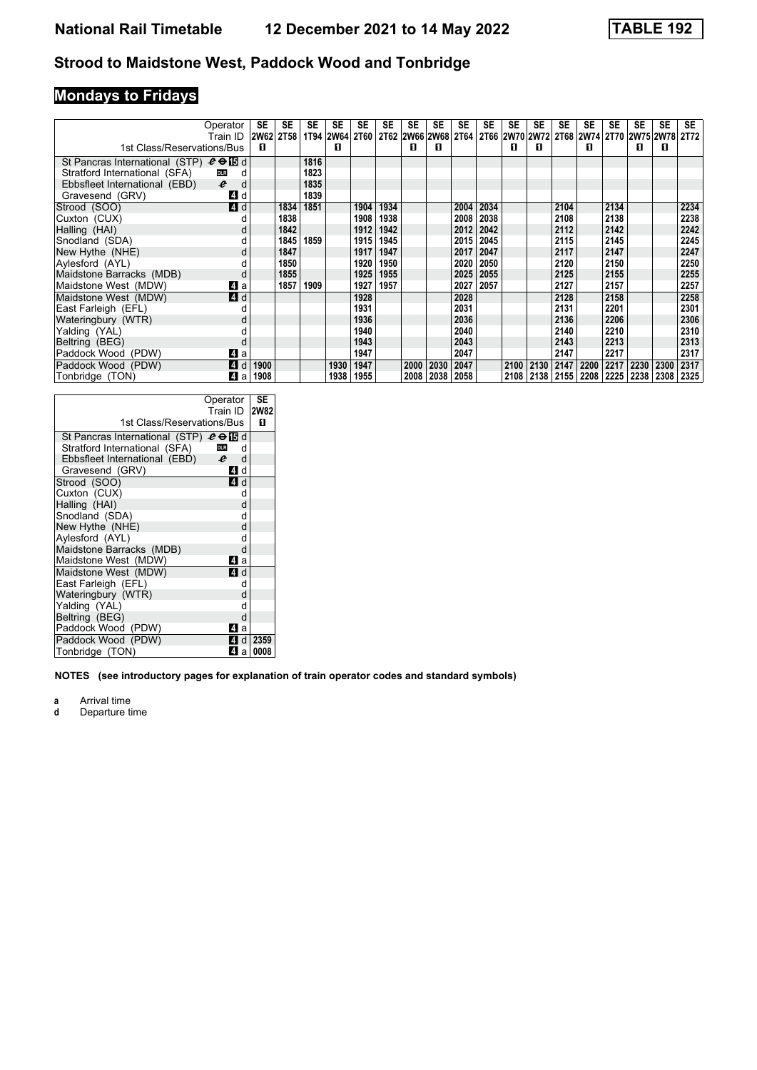# **Mondays to Fridays**

|                                               | Operator<br>Train ID  | SE   | <b>SE</b><br>2W62 2T58 | SE   | <b>SE</b><br>1T94 2W64 2T60 2T62 2W66 2W68 | <b>SE</b> | <b>SE</b> | <b>SE</b> | <b>SE</b> | <b>SE</b><br><b>2T64</b> | <b>SE</b> | <b>SE</b> | <b>SE</b><br>  2T66   2W70   2W72   2T68   2W74   2T70   2W75   2W78 | <b>SE</b> | SE   | <b>SE</b> | SE   | <b>SE</b> | <b>SE</b><br>2T72 |
|-----------------------------------------------|-----------------------|------|------------------------|------|--------------------------------------------|-----------|-----------|-----------|-----------|--------------------------|-----------|-----------|----------------------------------------------------------------------|-----------|------|-----------|------|-----------|-------------------|
| 1st Class/Reservations/Bus                    |                       | п    |                        |      | п                                          |           |           | п         | п         |                          |           | п         | п                                                                    |           | п    |           | п    | п         |                   |
| St Pancras International (STP) $e \oplus E$ d |                       |      |                        | 1816 |                                            |           |           |           |           |                          |           |           |                                                                      |           |      |           |      |           |                   |
| Stratford International (SFA)                 | <b>DLR</b><br>d       |      |                        | 1823 |                                            |           |           |           |           |                          |           |           |                                                                      |           |      |           |      |           |                   |
| Ebbsfleet International (EBD)                 | $\boldsymbol{e}$<br>d |      |                        | 1835 |                                            |           |           |           |           |                          |           |           |                                                                      |           |      |           |      |           |                   |
| Gravesend (GRV)                               | <b>4</b> d            |      |                        | 1839 |                                            |           |           |           |           |                          |           |           |                                                                      |           |      |           |      |           |                   |
| Strood (SOO)                                  | 4 d                   |      | 1834                   | 1851 |                                            | 1904      | 1934      |           |           | 2004                     | 2034      |           |                                                                      | 2104      |      | 2134      |      |           | 2234              |
| Cuxton (CUX)                                  |                       |      | 1838                   |      |                                            | 1908      | 1938      |           |           | 2008                     | 2038      |           |                                                                      | 2108      |      | 2138      |      |           | 2238              |
| Halling (HAI)                                 |                       |      | 1842                   |      |                                            | 1912      | 1942      |           |           | 2012                     | 2042      |           |                                                                      | 2112      |      | 2142      |      |           | 2242              |
| Snodland (SDA)                                |                       |      | 1845                   | 1859 |                                            | 1915      | 1945      |           |           | 2015                     | 2045      |           |                                                                      | 2115      |      | 2145      |      |           | 2245              |
| New Hythe (NHE)                               |                       |      | 1847                   |      |                                            | 1917      | 1947      |           |           | 2017                     | 2047      |           |                                                                      | 2117      |      | 2147      |      |           | 2247              |
| Aylesford (AYL)                               |                       |      | 1850                   |      |                                            | 1920      | 1950      |           |           | 2020                     | 2050      |           |                                                                      | 2120      |      | 2150      |      |           | 2250              |
| Maidstone Barracks (MDB)                      | d                     |      | 1855                   |      |                                            | 1925      | 1955      |           |           | 2025                     | 2055      |           |                                                                      | 2125      |      | 2155      |      |           | 2255              |
| Maidstone West (MDW)                          | ZI a                  |      | 1857                   | 1909 |                                            | 1927      | 1957      |           |           | 2027                     | 2057      |           |                                                                      | 2127      |      | 2157      |      |           | 2257              |
| Maidstone West (MDW)                          | 4 d                   |      |                        |      |                                            | 1928      |           |           |           | 2028                     |           |           |                                                                      | 2128      |      | 2158      |      |           | 2258              |
| East Farleigh (EFL)                           |                       |      |                        |      |                                            | 1931      |           |           |           | 2031                     |           |           |                                                                      | 2131      |      | 2201      |      |           | 2301              |
| Wateringbury (WTR)                            |                       |      |                        |      |                                            | 1936      |           |           |           | 2036                     |           |           |                                                                      | 2136      |      | 2206      |      |           | 2306              |
| Yalding (YAL)                                 |                       |      |                        |      |                                            | 1940      |           |           |           | 2040                     |           |           |                                                                      | 2140      |      | 2210      |      |           | 2310              |
| Beltring (BEG)                                | d                     |      |                        |      |                                            | 1943      |           |           |           | 2043                     |           |           |                                                                      | 2143      |      | 2213      |      |           | 2313              |
| Paddock Wood (PDW)                            | ZI a                  |      |                        |      |                                            | 1947      |           |           |           | 2047                     |           |           |                                                                      | 2147      |      | 2217      |      |           | 2317              |
| Paddock Wood (PDW)                            | 4 d                   | 1900 |                        |      | 1930                                       | 1947      |           | 2000      | 2030      | 2047                     |           | 2100      | 2130                                                                 | 2147      | 2200 | 2217      | 2230 | 2300      | 2317              |
| Tonbridge (TON)                               | 41 a                  | 1908 |                        |      | 1938                                       | 1955      |           | 2008      | 2038      | 2058                     |           | 2108      |                                                                      | 2138 2155 | 2208 | 2225      | 2238 | 2308      | 2325              |

| 1st Class/Reservations/Bus                    | Operator<br>Train ID  | SE<br><b>2W82</b><br>п |
|-----------------------------------------------|-----------------------|------------------------|
| St Pancras International (STP) $e \oplus E$ d |                       |                        |
| Stratford International (SFA)                 | <b>DLR</b><br>d       |                        |
| Ebbsfleet International (EBD)                 | d<br>$\boldsymbol{e}$ |                        |
| Gravesend (GRV)                               | 4 d                   |                        |
| Strood (SOO)                                  | 4 d                   |                        |
| Cuxton (CUX)                                  | d                     |                        |
| Halling (HAI)                                 | d                     |                        |
| Snodland (SDA)                                | d                     |                        |
| New Hythe (NHE)                               | d                     |                        |
| Aylesford (AYL)                               | d                     |                        |
| Maidstone Barracks (MDB)                      | d                     |                        |
| Maidstone West (MDW)                          | 4<br>a                |                        |
| Maidstone West (MDW)                          | ZI d                  |                        |
| East Farleigh (EFL)                           | d                     |                        |
| Wateringbury (WTR)                            | d                     |                        |
| Yalding (YAL)                                 | d                     |                        |
| Beltring (BEG)                                | d                     |                        |
| Paddock Wood (PDW)                            | 4<br>a                |                        |
| Paddock Wood (PDW)                            | 41 d                  | 2359                   |
| Tonbridge (TON)                               | 41 a l                | 0008                   |

**NOTES (see introductory pages for explanation of train operator codes and standard symbols)**

**a** Arrival time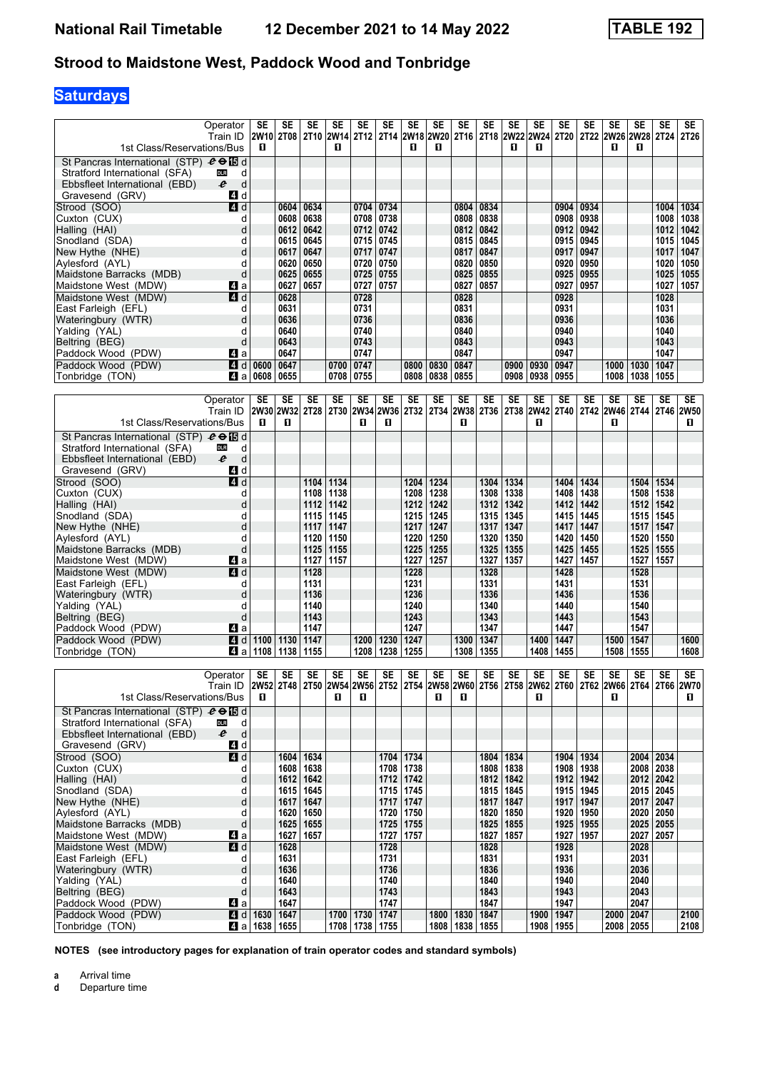# **Saturdays**

| 1st Class/Reservations/Bus                            | Operator<br>Train ID                                                                               | SE<br>2W10<br>O                | SE<br><b>2T08</b>   | SE           | SE<br>O      | SE             | SE           | SE<br>2T10 2W14 2T12 2T14 2W18 2W20 2T16<br>0 | SE<br>0             | SE                 | SE           | SE<br>0      | <b>SE</b><br>2T18 2W22 2W24<br>O | SE<br>2T20   | SE           | SE<br>2T22 2W26 2W28 2T24<br>0 | SE<br>O      | SE           | SE<br><b>2T26</b> |
|-------------------------------------------------------|----------------------------------------------------------------------------------------------------|--------------------------------|---------------------|--------------|--------------|----------------|--------------|-----------------------------------------------|---------------------|--------------------|--------------|--------------|----------------------------------|--------------|--------------|--------------------------------|--------------|--------------|-------------------|
| St Pancras International (STP) $e \oplus E$ d         |                                                                                                    |                                |                     |              |              |                |              |                                               |                     |                    |              |              |                                  |              |              |                                |              |              |                   |
| Stratford International (SFA)                         | d<br><b>DLR</b>                                                                                    |                                |                     |              |              |                |              |                                               |                     |                    |              |              |                                  |              |              |                                |              |              |                   |
| Ebbsfleet International (EBD)                         | e<br>d                                                                                             |                                |                     |              |              |                |              |                                               |                     |                    |              |              |                                  |              |              |                                |              |              |                   |
| Gravesend (GRV)                                       | 4 d                                                                                                |                                |                     |              |              |                |              |                                               |                     |                    |              |              |                                  |              |              |                                |              |              |                   |
| Strood (SOO)                                          | 4d                                                                                                 |                                | 0604                | 0634         |              | 0704 0734      |              |                                               |                     | 0804               | 0834         |              |                                  | 0904         | 0934         |                                |              | 1004         | 1034              |
| Cuxton (CUX)                                          | d                                                                                                  |                                | 0608                | 0638         |              | 0708           | 0738         |                                               |                     | 0808               | 0838         |              |                                  | 0908         | 0938         |                                |              | 1008         | 1038              |
| Halling (HAI)                                         | d<br>d                                                                                             |                                | 0612<br>0615        | 0642<br>0645 |              | 0712           | 0742<br>0745 |                                               |                     | 0812<br>0815       | 0842<br>0845 |              |                                  | 0912         | 0942<br>0945 |                                |              | 1012         | 1042              |
| Snodland (SDA)<br>New Hythe (NHE)                     | d                                                                                                  |                                | 0617                | 0647         |              | 0715<br>0717   | 0747         |                                               |                     | 0817               | 0847         |              |                                  | 0915<br>0917 | 0947         |                                |              | 1015<br>1017 | 1045<br>1047      |
| Aylesford (AYL)                                       | d                                                                                                  |                                | 0620                | 0650         |              | 0720           | 0750         |                                               |                     | 0820               | 0850         |              |                                  | 0920         | 0950         |                                |              | 1020         | 1050              |
| Maidstone Barracks (MDB)                              | d                                                                                                  |                                | 0625                | 0655         |              | 0725           | 0755         |                                               |                     | 0825               | 0855         |              |                                  | 0925         | 0955         |                                |              | 1025         | 1055              |
| Maidstone West (MDW)                                  | ZI a                                                                                               |                                | 0627                | 0657         |              | 0727           | 0757         |                                               |                     | 0827               | 0857         |              |                                  | 0927         | 0957         |                                |              | 1027         | 1057              |
| Maidstone West (MDW)                                  | 4 d                                                                                                |                                | 0628                |              |              | 0728           |              |                                               |                     | 0828               |              |              |                                  | 0928         |              |                                |              | 1028         |                   |
| East Farleigh (EFL)                                   | d                                                                                                  |                                | 0631                |              |              | 0731           |              |                                               |                     | 0831               |              |              |                                  | 0931         |              |                                |              | 1031         |                   |
| Wateringbury (WTR)                                    | d                                                                                                  |                                | 0636                |              |              | 0736           |              |                                               |                     | 0836               |              |              |                                  | 0936         |              |                                |              | 1036         |                   |
| Yalding (YAL)                                         | d                                                                                                  |                                | 0640                |              |              | 0740           |              |                                               |                     | 0840               |              |              |                                  | 0940         |              |                                |              | 1040         |                   |
| Beltring (BEG)                                        | d                                                                                                  |                                | 0643                |              |              | 0743           |              |                                               |                     | 0843               |              |              |                                  | 0943         |              |                                |              | 1043         |                   |
| Paddock Wood (PDW)                                    | ZI a                                                                                               |                                | 0647                |              |              | 0747           |              |                                               |                     | 0847               |              |              |                                  | 0947         |              |                                |              | 1047         |                   |
| Paddock Wood (PDW)                                    |                                                                                                    | $4$ d 0600                     | 0647                |              | 0700         | 0747           |              | 0800                                          | 0830                | 0847               |              | 0900         | 0930                             | 0947         |              | 1000                           | 1030         | 1047         |                   |
| Tonbridge (TON)                                       | ZI a                                                                                               | 0608                           | 0655                |              | 0708         | 0755           |              | 0808                                          | 0838                | 0855               |              | 0908         | 0938                             | 0955         |              | 1008                           | 1038         | 1055         |                   |
|                                                       |                                                                                                    |                                |                     |              |              |                |              |                                               |                     |                    |              |              |                                  |              |              |                                |              |              |                   |
|                                                       | Operator                                                                                           | SE                             | <b>SE</b>           | SE           | <b>SE</b>    | SE             | SE           | SE                                            | SE                  | SE                 | SE           | <b>SE</b>    | SE                               | SE           | SE           | <b>SE</b>                      | <b>SE</b>    | <b>SE</b>    | SE                |
|                                                       | Train ID                                                                                           |                                | 2W30 2W32           | <b>2T28</b>  | 2T30 2W34    |                |              | 2W36  2T32   2T34  2W38                       |                     |                    | 2T36         | <b>2T38</b>  | <b>2W42</b>                      | <b>2T40</b>  |              | 2T42 2W46 2T44                 |              |              | 2T46 2W50         |
| 1st Class/Reservations/Bus                            |                                                                                                    | п                              | п                   |              |              | п              | O            |                                               |                     | O                  |              |              | O                                |              |              | О                              |              |              | 0                 |
| St Pancras International (STP) $e \oplus E$ d         |                                                                                                    |                                |                     |              |              |                |              |                                               |                     |                    |              |              |                                  |              |              |                                |              |              |                   |
| Stratford International (SFA)                         | d<br><b>DLR</b>                                                                                    |                                |                     |              |              |                |              |                                               |                     |                    |              |              |                                  |              |              |                                |              |              |                   |
| Ebbsfleet International (EBD)                         | e<br>d                                                                                             |                                |                     |              |              |                |              |                                               |                     |                    |              |              |                                  |              |              |                                |              |              |                   |
| Gravesend (GRV)                                       | 4 d                                                                                                |                                |                     |              |              |                |              |                                               |                     |                    |              |              |                                  |              |              |                                |              |              |                   |
| Strood (SOO)                                          | 4d                                                                                                 |                                |                     | 1104         | 1134         |                |              | 1204                                          | 1234                |                    | 1304         | 1334         |                                  | 1404         | 1434         |                                | 1504         | 1534         |                   |
| Cuxton (CUX)                                          | d                                                                                                  |                                |                     | 1108         | 1138         |                |              | 1208                                          | 1238                |                    | 1308         | 1338         |                                  | 1408         | 1438         |                                | 1508         | 1538         |                   |
| Halling (HAI)                                         | d                                                                                                  |                                |                     | 1112         | 1142         |                |              |                                               | 1212   1242         |                    | 1312         | 1342         |                                  | 1412         | 1442         |                                | 1512         | 1542         |                   |
| Snodland (SDA)                                        | d                                                                                                  |                                |                     | 1115         | 1145         |                |              |                                               | 1215 1245           |                    | 1315         | 1345         |                                  | 1415         | 1445         |                                | 1515         | 1545         |                   |
| New Hythe (NHE)                                       | d                                                                                                  |                                |                     | 1117         | 1147         |                |              | 1217                                          | 1247                |                    | 1317         | 1347         |                                  | 1417<br>1420 | 1447         |                                | 1517         | 1547         |                   |
| Aylesford (AYL)<br>Maidstone Barracks (MDB)           | d<br>d                                                                                             |                                |                     | 1120<br>1125 | 1150<br>1155 |                |              | 1220                                          | 1250<br>1225   1255 |                    | 1320<br>1325 | 1350<br>1355 |                                  | 1425         | 1450<br>1455 |                                | 1520<br>1525 | 1550<br>1555 |                   |
| Maidstone West (MDW)                                  | ZI a                                                                                               |                                |                     | 1127         | 1157         |                |              | 1227                                          | 1257                |                    | 1327         | 1357         |                                  | 1427         | 1457         |                                | 1527         | 1557         |                   |
| Maidstone West (MDW)                                  | 4d                                                                                                 |                                |                     | 1128         |              |                |              | 1228                                          |                     |                    | 1328         |              |                                  | 1428         |              |                                | 1528         |              |                   |
| East Farleigh (EFL)                                   | d                                                                                                  |                                |                     | 1131         |              |                |              | 1231                                          |                     |                    | 1331         |              |                                  | 1431         |              |                                | 1531         |              |                   |
| Wateringbury (WTR)                                    | d                                                                                                  |                                |                     | 1136         |              |                |              | 1236                                          |                     |                    | 1336         |              |                                  | 1436         |              |                                | 1536         |              |                   |
| Yalding (YAL)                                         | d                                                                                                  |                                |                     | 1140         |              |                |              | 1240                                          |                     |                    | 1340         |              |                                  | 1440         |              |                                | 1540         |              |                   |
| Beltring (BEG)                                        | d                                                                                                  |                                |                     | 1143         |              |                |              | 1243                                          |                     |                    | 1343         |              |                                  | 1443         |              |                                | 1543         |              |                   |
| Paddock Wood (PDW)                                    | 41 a                                                                                               |                                |                     | 1147         |              |                |              | 1247                                          |                     |                    | 1347         |              |                                  | 1447         |              |                                | 1547         |              |                   |
| Paddock Wood (PDW)                                    | 4 d                                                                                                | 1100 1130                      |                     | 1147         |              | 1200           | 1230         | 1247                                          |                     | 1300               | 1347         |              | 1400                             | 1447         |              | 1500                           | 1547         |              | 1600              |
| Tonbridge (TON)                                       | [4] a l                                                                                            | 1108                           | 1138                | 1155         |              | 1208           | 1238         | 1255                                          |                     | 1308               | 1355         |              | 1408                             | 1455         |              | 1508                           | 1555         |              | 1608              |
|                                                       |                                                                                                    |                                |                     |              |              |                |              |                                               |                     |                    |              |              |                                  |              |              |                                |              |              |                   |
|                                                       | Operator                                                                                           | SE                             | SE                  | SE           | SE           | SE             | SE           | SE                                            | SE                  | SE                 | SE           | SE           | SE                               | SE           | SE           | SE                             | SE           | SE           | SE                |
|                                                       | Train ID 2W52 2T48 2T50 2W54 2W56 2T52 2T54 2W58 2W60 2T56 2T58 2W62 2T60 2T62 2W66 2T64 2T66 2W70 |                                |                     |              |              |                |              |                                               |                     |                    |              |              |                                  |              |              |                                |              |              |                   |
| 1st Class/Reservations/Bus                            |                                                                                                    | п                              |                     |              | О            | п              |              |                                               | 0                   | 0                  |              |              | п                                |              |              | п                              |              |              | П                 |
| St Pancras International (STP) $e \oplus \boxtimes d$ |                                                                                                    |                                |                     |              |              |                |              |                                               |                     |                    |              |              |                                  |              |              |                                |              |              |                   |
| Stratford International (SFA)                         | <b>DLR</b><br>d<br>$\boldsymbol{\ell}$<br>$\mathsf{d}$                                             |                                |                     |              |              |                |              |                                               |                     |                    |              |              |                                  |              |              |                                |              |              |                   |
| Ebbsfleet International (EBD)                         | 4d                                                                                                 |                                |                     |              |              |                |              |                                               |                     |                    |              |              |                                  |              |              |                                |              |              |                   |
| Gravesend (GRV)                                       | 4d                                                                                                 |                                |                     | 1634         |              |                |              | 1704 1734                                     |                     |                    |              | 1804   1834  |                                  |              | 1934         |                                |              | 2004 2034    |                   |
| Strood (SOO)<br>Cuxton (CUX)                          | d                                                                                                  |                                | 1604<br>1608   1638 |              |              |                |              | 1708 1738                                     |                     |                    |              | 1808   1838  |                                  | 1904<br>1908 | 1938         |                                |              | 2008 2038    |                   |
| Halling (HAI)                                         | d                                                                                                  |                                | 1612 1642           |              |              |                |              | 1712 1742                                     |                     |                    | 1812         | 1842         |                                  | 1912         | 1942         |                                |              | 2012 2042    |                   |
| Snodland (SDA)                                        | d                                                                                                  |                                | 1615   1645         |              |              |                |              | 1715 1745                                     |                     |                    |              | 1815   1845  |                                  |              | 1915   1945  |                                |              | 2015   2045  |                   |
| New Hythe (NHE)                                       | d                                                                                                  |                                | 1617   1647         |              |              |                |              | 1717 1747                                     |                     |                    | 1817         | 1847         |                                  | 1917         | 1947         |                                |              | 2017 2047    |                   |
| Aylesford (AYL)                                       | d                                                                                                  |                                | 1620   1650         |              |              |                |              | 1720   1750                                   |                     |                    | 1820         | 1850         |                                  | 1920         | 1950         |                                |              | 2020   2050  |                   |
| Maidstone Barracks (MDB)                              | d                                                                                                  |                                | 1625   1655         |              |              |                |              | 1725 1755                                     |                     |                    | 1825         | 1855         |                                  | 1925         | 1955         |                                |              | 2025 2055    |                   |
| Maidstone West (MDW)                                  | 41 a                                                                                               |                                | 1627   1657         |              |              |                |              | 1727 1757                                     |                     |                    | 1827         | 1857         |                                  | 1927         | 1957         |                                | 2027         | 2057         |                   |
| Maidstone West (MDW)                                  | 4d                                                                                                 |                                | 1628                |              |              |                | 1728         |                                               |                     |                    | 1828         |              |                                  | 1928         |              |                                | 2028         |              |                   |
| East Farleigh (EFL)                                   | d                                                                                                  |                                | 1631                |              |              |                | 1731         |                                               |                     |                    | 1831         |              |                                  | 1931         |              |                                | 2031         |              |                   |
| Wateringbury (WTR)                                    | d                                                                                                  |                                | 1636                |              |              |                | 1736         |                                               |                     |                    | 1836         |              |                                  | 1936         |              |                                | 2036         |              |                   |
| Yalding (YAL)                                         | d                                                                                                  |                                | 1640                |              |              |                | 1740         |                                               |                     |                    | 1840         |              |                                  | 1940         |              |                                | 2040         |              |                   |
| Beltring (BEG)                                        | d                                                                                                  |                                | 1643                |              |              |                | 1743         |                                               |                     |                    | 1843         |              |                                  | 1943         |              |                                | 2043         |              |                   |
| Paddock Wood (PDW)                                    | 4a                                                                                                 |                                | 1647                |              |              |                | 1747         |                                               |                     |                    | 1847         |              |                                  | 1947         |              |                                | 2047         |              |                   |
| Paddock Wood (PDW)                                    |                                                                                                    | $\blacksquare$ d   1630        | 1647                |              | 1700         | 1730           | 1747         |                                               | 1800                | 1830               | 1847         |              | 1900                             | 1947         |              | 2000 2047                      |              |              | 2100              |
| Tonbridge (TON)                                       |                                                                                                    | $\blacksquare$ a   1638   1655 |                     |              |              | 1708 1738 1755 |              |                                               |                     | 1808   1838   1855 |              |              | 1908                             | 1955         |              |                                | 2008 2055    |              | 2108              |

**NOTES (see introductory pages for explanation of train operator codes and standard symbols)**

**a** Arrival time<br>**d** Departure t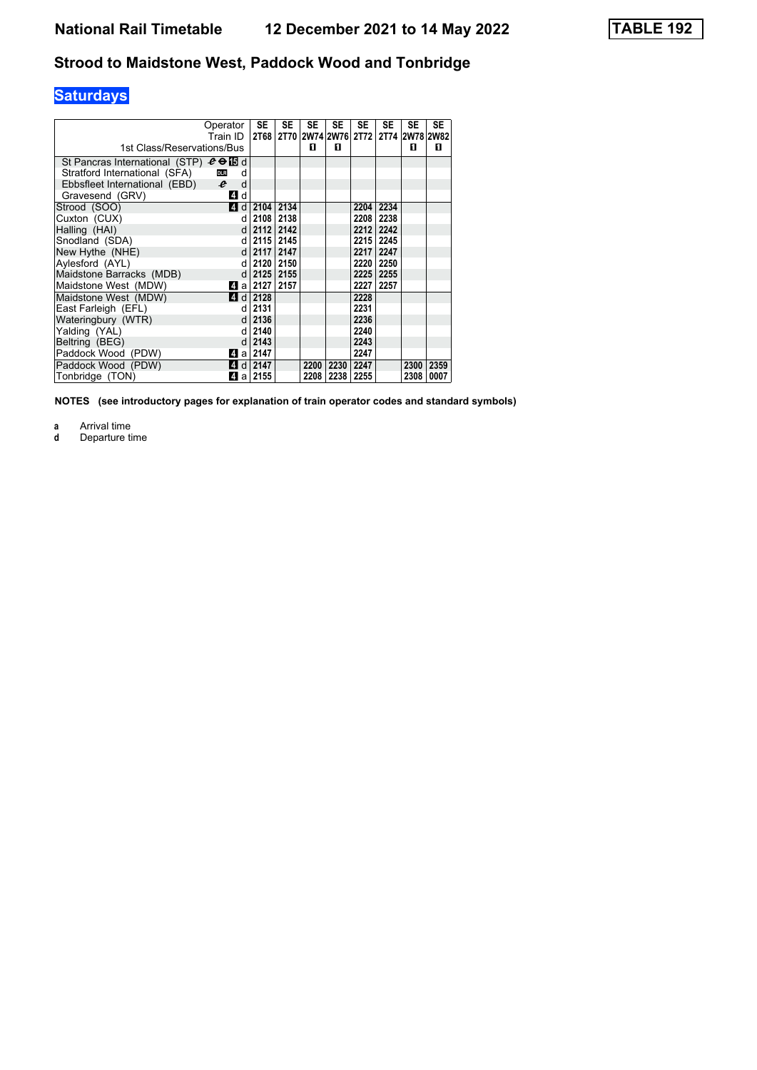# **Saturdays**

|                                               | Operator<br>Train ID | <b>SE</b><br>2T68       | <b>SE</b> | <b>SE</b> | <b>SE</b> | <b>SE</b> | <b>SE</b> | <b>SE</b> | <b>SE</b><br>2T70 2W74 2W76 2T72 2T74 2W78 2W82 |
|-----------------------------------------------|----------------------|-------------------------|-----------|-----------|-----------|-----------|-----------|-----------|-------------------------------------------------|
| 1st Class/Reservations/Bus                    |                      |                         |           | п         | п         |           |           | п         | п                                               |
| St Pancras International (STP) $e \oplus E$ d |                      |                         |           |           |           |           |           |           |                                                 |
| Stratford International (SFA)                 | <b>DLR</b><br>d      |                         |           |           |           |           |           |           |                                                 |
| Ebbsfleet International (EBD) $e$             | d                    |                         |           |           |           |           |           |           |                                                 |
| Gravesend (GRV)                               | 4 d                  |                         |           |           |           |           |           |           |                                                 |
| Strood (SOO)                                  |                      | 1 d   2104              | 2134      |           |           |           | 2204 2234 |           |                                                 |
| Cuxton (CUX)                                  | d                    | 2108                    | 2138      |           |           |           | 2208 2238 |           |                                                 |
| Halling (HAI)                                 |                      | $d$   2112              | 2142      |           |           |           | 2212 2242 |           |                                                 |
| Snodland (SDA)                                |                      | d   2115                | 2145      |           |           |           | 2215 2245 |           |                                                 |
| New Hythe (NHE)                               | $d \mid$             | 2117                    | 2147      |           |           |           | 2217 2247 |           |                                                 |
| Aylesford (AYL)                               | d                    | 2120                    | 2150      |           |           |           | 2220 2250 |           |                                                 |
| Maidstone Barracks (MDB)                      | d                    | 2125                    | 2155      |           |           |           | 2225 2255 |           |                                                 |
| Maidstone West (MDW)                          |                      | Z] a   2127             | 2157      |           |           |           | 2227 2257 |           |                                                 |
| Maidstone West (MDW)                          |                      | $\blacksquare$ d   2128 |           |           |           | 2228      |           |           |                                                 |
| East Farleigh (EFL)                           | d l                  | 2131                    |           |           |           | 2231      |           |           |                                                 |
| Wateringbury (WTR)                            | d                    | 2136                    |           |           |           | 2236      |           |           |                                                 |
| Yalding (YAL)                                 | d.                   | 2140                    |           |           |           | 2240      |           |           |                                                 |
| Beltring (BEG)                                |                      | $d$ 2143                |           |           |           | 2243      |           |           |                                                 |
| Paddock Wood (PDW)                            |                      | Zila 2147               |           |           |           | 2247      |           |           |                                                 |
| Paddock Wood (PDW)                            |                      | 4 d 2147                |           | 2200      | 2230      | 2247      |           | 2300      | 2359                                            |
| Tonbridge (TON)                               |                      | Zila   2155             |           | 2208      | 2238 2255 |           |           | 2308      | 0007                                            |

**NOTES (see introductory pages for explanation of train operator codes and standard symbols)**

**a** Arrival time<br>**d** Departure ti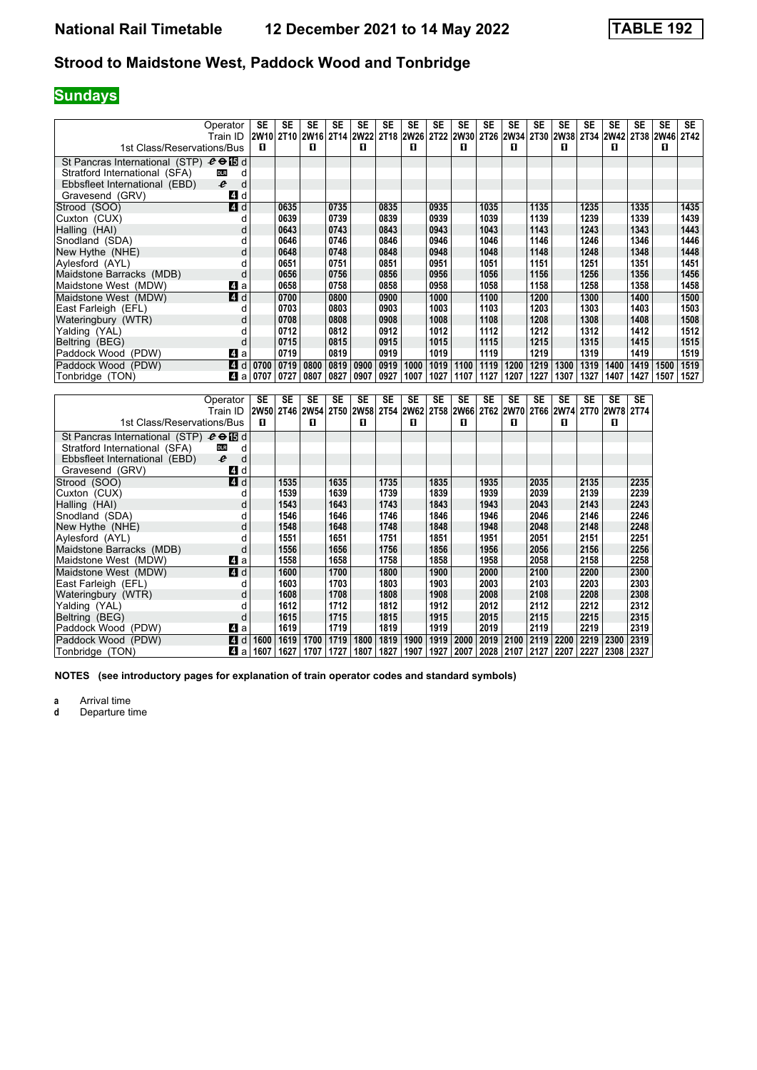# **Sundays**

| 1st Class/Reservations/Bus                    | Operator<br>Train ID  | SE<br>2W <sub>10</sub><br>п | <b>SE</b><br>2T <sub>10</sub> | <b>SE</b><br>2W16 2T14<br>п | <b>SE</b> | <b>SE</b><br><b>2W22</b><br>п | <b>SE</b> | <b>SE</b><br>2T18 2W26<br>п | <b>SE</b> | <b>SE</b><br>2T22 2W30<br>п | <b>SE</b> | <b>SE</b><br>2T26 2W34 2T30<br>п | <b>SE</b> | <b>SE</b><br>2W38<br>п | SE   | SE<br>2T34 2W42 2T38<br>п | <b>SE</b> | SE<br>2W46 2T42<br>п | <b>SE</b> |
|-----------------------------------------------|-----------------------|-----------------------------|-------------------------------|-----------------------------|-----------|-------------------------------|-----------|-----------------------------|-----------|-----------------------------|-----------|----------------------------------|-----------|------------------------|------|---------------------------|-----------|----------------------|-----------|
| St Pancras International (STP) $e \oplus E$ d |                       |                             |                               |                             |           |                               |           |                             |           |                             |           |                                  |           |                        |      |                           |           |                      |           |
| Stratford International (SFA)                 | <b>DLR</b><br>d       |                             |                               |                             |           |                               |           |                             |           |                             |           |                                  |           |                        |      |                           |           |                      |           |
| Ebbsfleet International (EBD)                 | $\boldsymbol{e}$<br>d |                             |                               |                             |           |                               |           |                             |           |                             |           |                                  |           |                        |      |                           |           |                      |           |
| Gravesend (GRV)                               | 4 d                   |                             |                               |                             |           |                               |           |                             |           |                             |           |                                  |           |                        |      |                           |           |                      |           |
| Strood (SOO)                                  | 4 d                   |                             | 0635                          |                             | 0735      |                               | 0835      |                             | 0935      |                             | 1035      |                                  | 1135      |                        | 1235 |                           | 1335      |                      | 1435      |
| Cuxton (CUX)                                  |                       |                             | 0639                          |                             | 0739      |                               | 0839      |                             | 0939      |                             | 1039      |                                  | 1139      |                        | 1239 |                           | 1339      |                      | 1439      |
| Halling (HAI)                                 |                       |                             | 0643                          |                             | 0743      |                               | 0843      |                             | 0943      |                             | 1043      |                                  | 1143      |                        | 1243 |                           | 1343      |                      | 1443      |
| Snodland (SDA)                                |                       |                             | 0646                          |                             | 0746      |                               | 0846      |                             | 0946      |                             | 1046      |                                  | 1146      |                        | 1246 |                           | 1346      |                      | 1446      |
| New Hythe (NHE)                               | d                     |                             | 0648                          |                             | 0748      |                               | 0848      |                             | 0948      |                             | 1048      |                                  | 1148      |                        | 1248 |                           | 1348      |                      | 1448      |
| Aylesford (AYL)                               |                       |                             | 0651                          |                             | 0751      |                               | 0851      |                             | 0951      |                             | 1051      |                                  | 1151      |                        | 1251 |                           | 1351      |                      | 1451      |
| Maidstone Barracks (MDB)                      | d                     |                             | 0656                          |                             | 0756      |                               | 0856      |                             | 0956      |                             | 1056      |                                  | 1156      |                        | 1256 |                           | 1356      |                      | 1456      |
| Maidstone West (MDW)                          | ZI a                  |                             | 0658                          |                             | 0758      |                               | 0858      |                             | 0958      |                             | 1058      |                                  | 1158      |                        | 1258 |                           | 1358      |                      | 1458      |
| Maidstone West (MDW)                          | 4 d                   |                             | 0700                          |                             | 0800      |                               | 0900      |                             | 1000      |                             | 1100      |                                  | 1200      |                        | 1300 |                           | 1400      |                      | 1500      |
| East Farleigh (EFL)                           |                       |                             | 0703                          |                             | 0803      |                               | 0903      |                             | 1003      |                             | 1103      |                                  | 1203      |                        | 1303 |                           | 1403      |                      | 1503      |
| Wateringbury (WTR)                            | d                     |                             | 0708                          |                             | 0808      |                               | 0908      |                             | 1008      |                             | 1108      |                                  | 1208      |                        | 1308 |                           | 1408      |                      | 1508      |
| Yalding (YAL)                                 |                       |                             | 0712                          |                             | 0812      |                               | 0912      |                             | 1012      |                             | 1112      |                                  | 1212      |                        | 1312 |                           | 1412      |                      | 1512      |
| Beltring (BEG)                                | d                     |                             | 0715                          |                             | 0815      |                               | 0915      |                             | 1015      |                             | 1115      |                                  | 1215      |                        | 1315 |                           | 1415      |                      | 1515      |
| Paddock Wood (PDW)                            | ZI a                  |                             | 0719                          |                             | 0819      |                               | 0919      |                             | 1019      |                             | 1119      |                                  | 1219      |                        | 1319 |                           | 1419      |                      | 1519      |
| Paddock Wood (PDW)                            | 4 d                   | 0700                        | 0719                          | 0800                        | 0819      | 0900                          | 0919      | 1000                        | 1019      | 1100                        | 1119      | 1200                             | 1219      | 1300                   | 1319 | 1400                      | 1419      | 1500                 | 1519      |
| Tonbridge (TON)                               | 41 a                  | 0707                        | 0727                          | 0807                        | 0827      | 0907                          | 0927      | 1007                        | 1027      | 1107                        | 1127      | 1207                             | 1227      | 1307                   | 1327 | 1407                      | 1427      | 1507                 | 1527      |

| Operator                                          | SE   | <b>SE</b> | <b>SE</b>      | <b>SE</b> | SE          | <b>SE</b>   | <b>SE</b>   | SE          | SE          | <b>SE</b> | <b>SE</b> | <b>SE</b> | SE          | SE          | <b>SE</b>   | <b>SE</b> |
|---------------------------------------------------|------|-----------|----------------|-----------|-------------|-------------|-------------|-------------|-------------|-----------|-----------|-----------|-------------|-------------|-------------|-----------|
| Train ID                                          | 2W50 |           | 2T46 2W54 2T50 |           | <b>2W58</b> | <b>2T54</b> | <b>2W62</b> | <b>2T58</b> | <b>2W66</b> |           | 2T62 2W70 |           | 2T66 2W74   | <b>2T70</b> | <b>2W78</b> | 2T74      |
| 1st Class/Reservations/Bus                        | п    |           | п              |           | п           |             | п           |             | п           |           | п         |           | п           |             | п           |           |
| St Pancras International (STP) $e \oplus E$ d     |      |           |                |           |             |             |             |             |             |           |           |           |             |             |             |           |
| Stratford International (SFA)<br><b>DLR</b>       | d    |           |                |           |             |             |             |             |             |           |           |           |             |             |             |           |
| $\boldsymbol{e}$<br>Ebbsfleet International (EBD) | d    |           |                |           |             |             |             |             |             |           |           |           |             |             |             |           |
| Gravesend (GRV)<br>4 d                            |      |           |                |           |             |             |             |             |             |           |           |           |             |             |             |           |
| 4 d<br>Strood (SOO)                               |      | 1535      |                | 1635      |             | 1735        |             | 1835        |             | 1935      |           | 2035      |             | 2135        |             | 2235      |
| Cuxton (CUX)                                      |      | 1539      |                | 1639      |             | 1739        |             | 1839        |             | 1939      |           | 2039      |             | 2139        |             | 2239      |
| Halling (HAI)                                     |      | 1543      |                | 1643      |             | 1743        |             | 1843        |             | 1943      |           | 2043      |             | 2143        |             | 2243      |
| Snodland (SDA)                                    |      | 1546      |                | 1646      |             | 1746        |             | 1846        |             | 1946      |           | 2046      |             | 2146        |             | 2246      |
| New Hythe (NHE)                                   | d    | 1548      |                | 1648      |             | 1748        |             | 1848        |             | 1948      |           | 2048      |             | 2148        |             | 2248      |
| Aylesford (AYL)                                   |      | 1551      |                | 1651      |             | 1751        |             | 1851        |             | 1951      |           | 2051      |             | 2151        |             | 2251      |
| Maidstone Barracks (MDB)                          | d    | 1556      |                | 1656      |             | 1756        |             | 1856        |             | 1956      |           | 2056      |             | 2156        |             | 2256      |
| Maidstone West (MDW)<br>41 a                      |      | 1558      |                | 1658      |             | 1758        |             | 1858        |             | 1958      |           | 2058      |             | 2158        |             | 2258      |
| 4d<br>Maidstone West (MDW)                        |      | 1600      |                | 1700      |             | 1800        |             | 1900        |             | 2000      |           | 2100      |             | 2200        |             | 2300      |
| East Farleigh (EFL)                               |      | 1603      |                | 1703      |             | 1803        |             | 1903        |             | 2003      |           | 2103      |             | 2203        |             | 2303      |
| Wateringbury (WTR)                                | d    | 1608      |                | 1708      |             | 1808        |             | 1908        |             | 2008      |           | 2108      |             | 2208        |             | 2308      |
| Yalding (YAL)                                     |      | 1612      |                | 1712      |             | 1812        |             | 1912        |             | 2012      |           | 2112      |             | 2212        |             | 2312      |
| Beltring (BEG)                                    |      | 1615      |                | 1715      |             | 1815        |             | 1915        |             | 2015      |           | 2115      |             | 2215        |             | 2315      |
| Paddock Wood (PDW)<br>41 a                        |      | 1619      |                | 1719      |             | 1819        |             | 1919        |             | 2019      |           | 2119      |             | 2219        |             | 2319      |
| Paddock Wood (PDW)<br>4d                          | 1600 | 1619      | 1700           | 1719      | 1800        | 1819        | 1900        | 1919        | 2000        | 2019      | 2100      | 2119      | 2200        | 2219        | 2300        | 2319      |
| 41 a<br>Tonbridge (TON)                           | 1607 | 1627      | 1707           | 1727      | 1807        | 1827        | 1907        | 1927        | 2007        | 2028      | 2107      |           | 2127   2207 | 2227        | 2308        | 2327      |

**NOTES (see introductory pages for explanation of train operator codes and standard symbols)**

**a** Arrival time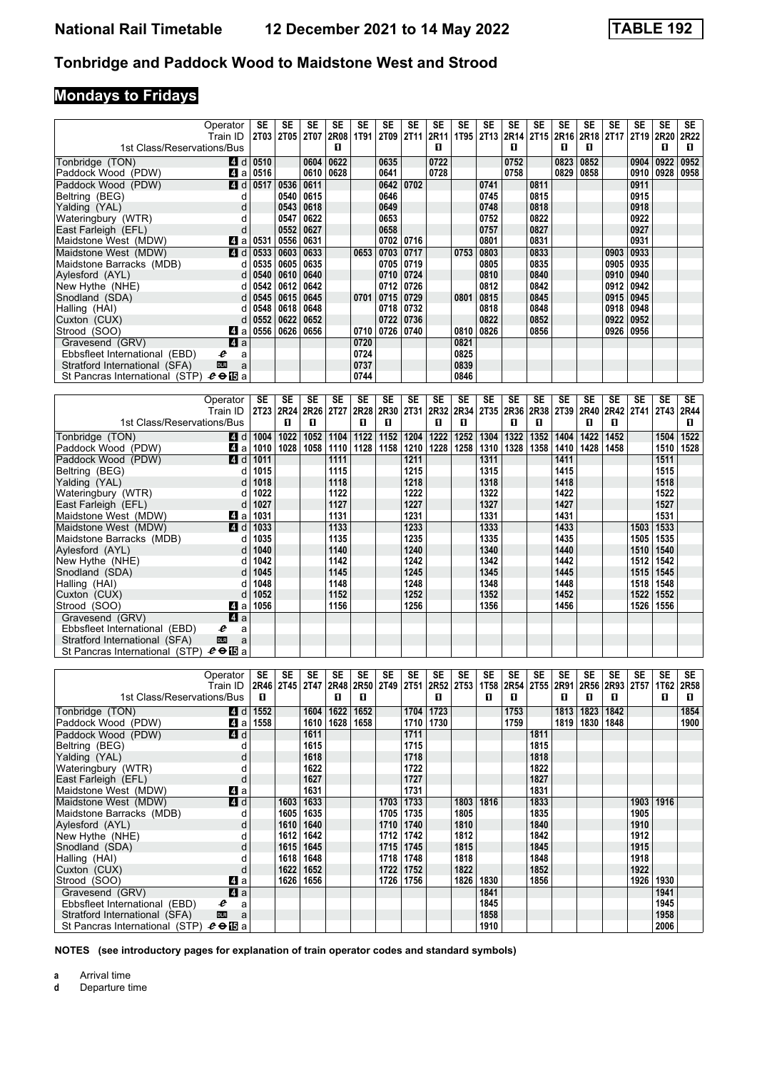# **Mondays to Fridays**

|                                | Operator        | SE   | <b>SE</b> | SE          | SE          | <b>SE</b>   | <b>SE</b>   | SE          | <b>SE</b> | <b>SE</b> | <b>SE</b> | <b>SE</b> | SE   | <b>SE</b> | SE          | <b>SE</b>        | <b>SE</b>        | <b>SE</b> | <b>SE</b> |
|--------------------------------|-----------------|------|-----------|-------------|-------------|-------------|-------------|-------------|-----------|-----------|-----------|-----------|------|-----------|-------------|------------------|------------------|-----------|-----------|
|                                | Train ID        | 2T03 | 2T05      | <b>2T07</b> | <b>2R08</b> | <b>1T91</b> | <b>2T09</b> | <b>2T11</b> |           | 2R11 1T95 |           | 2T13 2R14 | 2T15 | 2R16      | <b>2R18</b> | 2T <sub>17</sub> | 2T <sub>19</sub> | 2R20      | 2R22      |
| 1st Class/Reservations/Bus     |                 |      |           |             | п           |             |             |             | п         |           |           | п         |      | л         | п           |                  |                  | п         | п         |
| Tonbridge (TON)                | <b>4d</b>       | 0510 |           | 0604        | 0622        |             | 0635        |             | 0722      |           |           | 0752      |      | 0823      | 0852        |                  | 0904             | 0922      | 0952      |
| Paddock Wood (PDW)             | ZI a            | 0516 |           | 0610        | 0628        |             | 0641        |             | 0728      |           |           | 0758      |      | 0829      | 0858        |                  | 0910             | 0928      | 0958      |
| Paddock Wood (PDW)             | 4 <sup>d</sup>  | 0517 | 0536      | 0611        |             |             | 0642        | 0702        |           |           | 0741      |           | 0811 |           |             |                  | 0911             |           |           |
| Beltring (BEG)                 | d               |      | 0540      | 0615        |             |             | 0646        |             |           |           | 0745      |           | 0815 |           |             |                  | 0915             |           |           |
| Yalding (YAL)                  | d               |      | 0543      | 0618        |             |             | 0649        |             |           |           | 0748      |           | 0818 |           |             |                  | 0918             |           |           |
| Wateringbury (WTR)             | d               |      | 0547      | 0622        |             |             | 0653        |             |           |           | 0752      |           | 0822 |           |             |                  | 0922             |           |           |
| East Farleigh (EFL)            | d               |      | 0552      | 0627        |             |             | 0658        |             |           |           | 0757      |           | 0827 |           |             |                  | 0927             |           |           |
| Maidstone West (MDW)           | ZI a            | 0531 | 0556      | 0631        |             |             | 0702        | 0716        |           |           | 0801      |           | 0831 |           |             |                  | 0931             |           |           |
| Maidstone West (MDW)           | ZI d            | 0533 | 0603      | 0633        |             | 0653        | 0703        | 0717        |           | 0753      | 0803      |           | 0833 |           |             | 0903             | 0933             |           |           |
| Maidstone Barracks (MDB)       | d               | 0535 | 0605      | 0635        |             |             | 0705        | 0719        |           |           | 0805      |           | 0835 |           |             | 0905             | 0935             |           |           |
| Aylesford (AYL)                | d               | 0540 | 0610      | 0640        |             |             | 0710        | 0724        |           |           | 0810      |           | 0840 |           |             | 0910             | 0940             |           |           |
| New Hythe (NHE)                | d               | 0542 | 0612      | 0642        |             |             | 0712        | 0726        |           |           | 0812      |           | 0842 |           |             | 0912             | 0942             |           |           |
| Snodland (SDA)                 | d               | 0545 | 0615      | 0645        |             | 0701        | 0715        | 0729        |           | 0801      | 0815      |           | 0845 |           |             | 0915             | 0945             |           |           |
| Halling (HAI)                  | d               | 0548 | 0618      | 0648        |             |             | 0718        | 0732        |           |           | 0818      |           | 0848 |           |             | 0918             | 0948             |           |           |
| Cuxton (CUX)                   | d               | 0552 | 0622      | 0652        |             |             | 0722        | 0736        |           |           | 0822      |           | 0852 |           |             | 0922             | 0952             |           |           |
| Strood (SOO)                   | L4l a           | 0556 | 0626      | 0656        |             | 0710        | 0726        | 0740        |           | 0810      | 0826      |           | 0856 |           |             | 0926             | 0956             |           |           |
| Gravesend (GRV)                | ZI a            |      |           |             |             | 0720        |             |             |           | 0821      |           |           |      |           |             |                  |                  |           |           |
| Ebbsfleet International (EBD)  | e<br>a          |      |           |             |             | 0724        |             |             |           | 0825      |           |           |      |           |             |                  |                  |           |           |
| Stratford International (SFA)  | <b>DLR</b><br>a |      |           |             |             | 0737        |             |             |           | 0839      |           |           |      |           |             |                  |                  |           |           |
| St Pancras International (STP) | $e \oplus E$ a  |      |           |             |             | 0744        |             |             |           | 0846      |           |           |      |           |             |                  |                  |           |           |
|                                |                 |      |           |             |             |             |             |             |           |           |           |           |      |           |             |                  |                  |           |           |

|                                | Operator        | SE   | SE             | SE   | SE          | SE   | SE   | SE   | SE   | SE   | SE   | SE                            | SE   | SE   | SE   | SE   | SE                               | SE   | SE   |
|--------------------------------|-----------------|------|----------------|------|-------------|------|------|------|------|------|------|-------------------------------|------|------|------|------|----------------------------------|------|------|
|                                | Train ID        |      | 2T23 2R24 2R26 |      | <b>2T27</b> | 2R28 | 2R30 |      |      |      |      | 2T31 2R32 2R34 2T35 2R36 2R38 |      |      |      |      | 2T39   2R40   2R42   2T41   2T43 |      | 2R44 |
| 1st Class/Reservations/Bus     |                 |      | п              | п    |             | п    | п    |      | п    | п    |      | п                             | п    |      | п    | п    |                                  |      | П.   |
| Tonbridge (TON)                | 4 d             | 1004 | 1022           | 1052 | 1104        | 1122 | 1152 | 1204 | 1222 | 1252 | 1304 | 1322                          | 1352 | 1404 | 1422 | 1452 |                                  | 1504 | 1522 |
| Paddock Wood (PDW)             | 41 a            | 1010 | 1028           | 1058 | 1110        | 1128 | 1158 | 1210 | 1228 | 1258 | 1310 | 1328                          | 1358 | 1410 | 1428 | 1458 |                                  | 1510 | 1528 |
| Paddock Wood (PDW)             | 4d              | 1011 |                |      | 1111        |      |      | 1211 |      |      | 1311 |                               |      | 1411 |      |      |                                  | 1511 |      |
| Beltring (BEG)                 |                 | 1015 |                |      | 1115        |      |      | 1215 |      |      | 1315 |                               |      | 1415 |      |      |                                  | 1515 |      |
| Yalding (YAL)                  |                 | 1018 |                |      | 1118        |      |      | 1218 |      |      | 1318 |                               |      | 1418 |      |      |                                  | 1518 |      |
| Wateringbury (WTR)             |                 | 1022 |                |      | 1122        |      |      | 1222 |      |      | 1322 |                               |      | 1422 |      |      |                                  | 1522 |      |
| East Farleigh (EFL)            |                 | 1027 |                |      | 1127        |      |      | 1227 |      |      | 1327 |                               |      | 1427 |      |      |                                  | 1527 |      |
| Maidstone West (MDW)           | ZI a            | 1031 |                |      | 1131        |      |      | 1231 |      |      | 1331 |                               |      | 1431 |      |      |                                  | 1531 |      |
| Maidstone West (MDW)           | 4 d             | 1033 |                |      | 1133        |      |      | 1233 |      |      | 1333 |                               |      | 1433 |      |      | 1503                             | 1533 |      |
| Maidstone Barracks (MDB)       |                 | 1035 |                |      | 1135        |      |      | 1235 |      |      | 1335 |                               |      | 1435 |      |      | 1505                             | 1535 |      |
| Aylesford (AYL)                |                 | 1040 |                |      | 1140        |      |      | 1240 |      |      | 1340 |                               |      | 1440 |      |      | 1510                             | 1540 |      |
| New Hythe (NHE)                |                 | 1042 |                |      | 1142        |      |      | 1242 |      |      | 1342 |                               |      | 1442 |      |      | 1512                             | 1542 |      |
| Snodland (SDA)                 | d               | 1045 |                |      | 1145        |      |      | 1245 |      |      | 1345 |                               |      | 1445 |      |      | 1515                             | 1545 |      |
| Halling (HAI)                  |                 | 1048 |                |      | 1148        |      |      | 1248 |      |      | 1348 |                               |      | 1448 |      |      | 1518                             | 1548 |      |
| Cuxton (CUX)                   |                 | 1052 |                |      | 1152        |      |      | 1252 |      |      | 1352 |                               |      | 1452 |      |      | 1522                             | 1552 |      |
| Strood (SOO)                   | ZI a            | 1056 |                |      | 1156        |      |      | 1256 |      |      | 1356 |                               |      | 1456 |      |      | 1526                             | 1556 |      |
| Gravesend (GRV)                | 4a              |      |                |      |             |      |      |      |      |      |      |                               |      |      |      |      |                                  |      |      |
| Ebbsfleet International (EBD)  | e<br>a          |      |                |      |             |      |      |      |      |      |      |                               |      |      |      |      |                                  |      |      |
| Stratford International (SFA)  | <b>DLR</b><br>a |      |                |      |             |      |      |      |      |      |      |                               |      |      |      |      |                                  |      |      |
| St Pancras International (STP) | $e \oplus E$ a  |      |                |      |             |      |      |      |      |      |      |                               |      |      |      |      |                                  |      |      |

|                                | Operator        | SE   | SE        | <b>SE</b> | <b>SE</b> | SE        | <b>SE</b> | SE   | SE   | <b>SE</b> | SE          | <b>SE</b> | SE          | <b>SE</b> | SE   | <b>SE</b> | SE   | SE   | SE   |
|--------------------------------|-----------------|------|-----------|-----------|-----------|-----------|-----------|------|------|-----------|-------------|-----------|-------------|-----------|------|-----------|------|------|------|
|                                | Train ID        |      | 2R46 2T45 | 2T47      | 2R48      | 2R50 2T49 |           | 2T51 | 2R52 | 2T53      | <b>1T58</b> | 2R54      | <b>2T55</b> | 2R91      | 2R56 | 2R93      | 2T57 | 1T62 | 2R58 |
| 1st Class/Reservations/Bus     |                 | п    |           |           | п         | п         |           |      | п    |           | 0           | л         |             | п         | п    | п         |      | п    | п    |
| Tonbridge (TON)                | ZI d            | 1552 |           | 1604      | 1622      | 1652      |           | 1704 | 1723 |           |             | 1753      |             | 1813      | 1823 | 1842      |      |      | 1854 |
| Paddock Wood (PDW)             | 41 a            | 1558 |           | 1610      | 1628      | 1658      |           | 1710 | 1730 |           |             | 1759      |             | 1819      | 1830 | 1848      |      |      | 1900 |
| Paddock Wood (PDW)             | 4d              |      |           | 1611      |           |           |           | 1711 |      |           |             |           | 1811        |           |      |           |      |      |      |
| Beltring (BEG)                 | d               |      |           | 1615      |           |           |           | 1715 |      |           |             |           | 1815        |           |      |           |      |      |      |
| Yalding (YAL)                  | d               |      |           | 1618      |           |           |           | 1718 |      |           |             |           | 1818        |           |      |           |      |      |      |
| Wateringbury (WTR)             | d               |      |           | 1622      |           |           |           | 1722 |      |           |             |           | 1822        |           |      |           |      |      |      |
| East Farleigh (EFL)            | d               |      |           | 1627      |           |           |           | 1727 |      |           |             |           | 1827        |           |      |           |      |      |      |
| Maidstone West (MDW)           | ZI a            |      |           | 1631      |           |           |           | 1731 |      |           |             |           | 1831        |           |      |           |      |      |      |
| Maidstone West (MDW)           | 4 <sup>d</sup>  |      | 1603      | 1633      |           |           | 1703      | 1733 |      | 1803      | 1816        |           | 1833        |           |      |           | 1903 | 1916 |      |
| Maidstone Barracks (MDB)       | d               |      | 1605      | 1635      |           |           | 1705      | 1735 |      | 1805      |             |           | 1835        |           |      |           | 1905 |      |      |
| Aylesford (AYL)                | d               |      | 1610      | 1640      |           |           | 1710      | 1740 |      | 1810      |             |           | 1840        |           |      |           | 1910 |      |      |
| New Hythe (NHE)                | d               |      | 1612      | 1642      |           |           | 1712      | 1742 |      | 1812      |             |           | 1842        |           |      |           | 1912 |      |      |
| Snodland (SDA)                 | d               |      | 1615      | 1645      |           |           | 1715      | 1745 |      | 1815      |             |           | 1845        |           |      |           | 1915 |      |      |
| Halling (HAI)                  | d               |      | 1618      | 1648      |           |           | 1718      | 1748 |      | 1818      |             |           | 1848        |           |      |           | 1918 |      |      |
| Cuxton (CUX)                   | d               |      | 1622      | 1652      |           |           | 1722      | 1752 |      | 1822      |             |           | 1852        |           |      |           | 1922 |      |      |
| Strood (SOO)                   | 41 a            |      | 1626      | 1656      |           |           | 1726      | 1756 |      | 1826      | 1830        |           | 1856        |           |      |           | 1926 | 1930 |      |
| Gravesend (GRV)                | ZI a            |      |           |           |           |           |           |      |      |           | 1841        |           |             |           |      |           |      | 1941 |      |
| Ebbsfleet International (EBD)  | e<br>a          |      |           |           |           |           |           |      |      |           | 1845        |           |             |           |      |           |      | 1945 |      |
| Stratford International (SFA)  | <b>DLR</b><br>a |      |           |           |           |           |           |      |      |           | 1858        |           |             |           |      |           |      | 1958 |      |
| St Pancras International (STP) | $e \oplus E$ a  |      |           |           |           |           |           |      |      |           | 1910        |           |             |           |      |           |      | 2006 |      |

**NOTES (see introductory pages for explanation of train operator codes and standard symbols)**

**a** Arrival time<br>**d** Departure t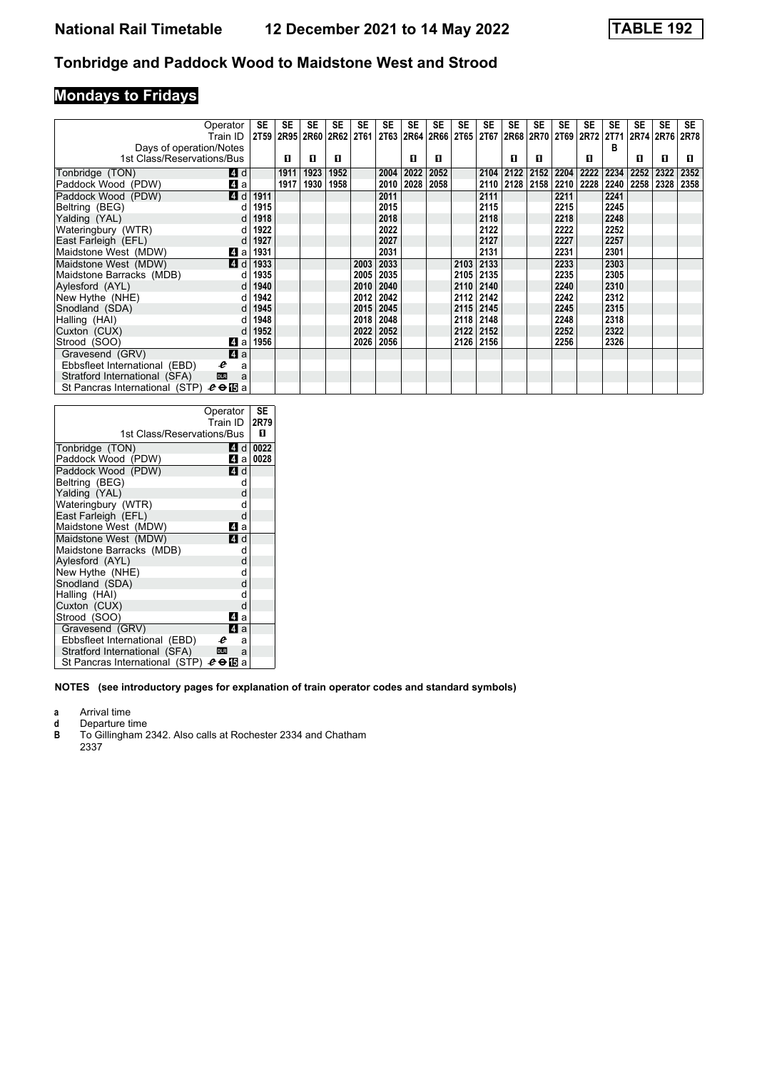### **Mondays to Fridays**

|                                               | Operator   | SE   | SE   | SE             | SE   | <b>SE</b> | SE   | SE        | <b>SE</b> | SE        | <b>SE</b> | SE   | SE   | SE   | SE                  | SE   | SE   | <b>SE</b> | <b>SE</b> |
|-----------------------------------------------|------------|------|------|----------------|------|-----------|------|-----------|-----------|-----------|-----------|------|------|------|---------------------|------|------|-----------|-----------|
|                                               | Train ID   | 2T59 |      | 2R95 2R60 2R62 |      | 2T61      | 2T63 | 2R64 2R66 |           | 2T65 2T67 |           |      |      |      | 2R68 2R70 2T69 2R72 | 2T71 |      | 2R74 2R76 | 2R78      |
| Days of operation/Notes                       |            |      |      |                |      |           |      |           |           |           |           |      |      |      |                     | в    |      |           |           |
| 1st Class/Reservations/Bus                    |            |      | п    | п              | п    |           |      | п         | п         |           |           | п    | 0    |      | п                   |      | п    | п         | п.        |
| Tonbridge (TON)                               | <b>4</b> d |      | 1911 | 1923           | 1952 |           | 2004 | 2022      | 2052      |           | 2104      | 2122 | 2152 | 2204 | 2222                | 2234 | 2252 | 2322      | 2352      |
| Paddock Wood (PDW)                            | ZI a       |      | 1917 | 1930           | 1958 |           | 2010 | 2028      | 2058      |           | 2110      | 2128 | 2158 | 2210 | 2228                | 2240 | 2258 | 2328      | 2358      |
| Paddock Wood (PDW)                            | 4 d        | 1911 |      |                |      |           | 2011 |           |           |           | 2111      |      |      | 2211 |                     | 2241 |      |           |           |
| Beltring (BEG)                                |            | 1915 |      |                |      |           | 2015 |           |           |           | 2115      |      |      | 2215 |                     | 2245 |      |           |           |
| Yalding (YAL)                                 | d          | 1918 |      |                |      |           | 2018 |           |           |           | 2118      |      |      | 2218 |                     | 2248 |      |           |           |
| Wateringbury (WTR)                            |            | 1922 |      |                |      |           | 2022 |           |           |           | 2122      |      |      | 2222 |                     | 2252 |      |           |           |
| East Farleigh (EFL)                           |            | 1927 |      |                |      |           | 2027 |           |           |           | 2127      |      |      | 2227 |                     | 2257 |      |           |           |
| Maidstone West (MDW)                          | L4 a       | 1931 |      |                |      |           | 2031 |           |           |           | 2131      |      |      | 2231 |                     | 2301 |      |           |           |
| Maidstone West (MDW)                          | <b>4</b> d | 1933 |      |                |      | 2003      | 2033 |           |           | 2103      | 2133      |      |      | 2233 |                     | 2303 |      |           |           |
| Maidstone Barracks (MDB)                      |            | 1935 |      |                |      | 2005      | 2035 |           |           | 2105 2135 |           |      |      | 2235 |                     | 2305 |      |           |           |
| Avlesford (AYL)                               | d          | 1940 |      |                |      | 2010      | 2040 |           |           | 2110 2140 |           |      |      | 2240 |                     | 2310 |      |           |           |
| New Hythe (NHE)                               |            | 1942 |      |                |      | 2012      | 2042 |           |           | 2112 2142 |           |      |      | 2242 |                     | 2312 |      |           |           |
| Snodland (SDA)                                | d          | 1945 |      |                |      | 2015      | 2045 |           |           | 2115 2145 |           |      |      | 2245 |                     | 2315 |      |           |           |
| Halling (HAI)                                 |            | 1948 |      |                |      | 2018      | 2048 |           |           | 2118 2148 |           |      |      | 2248 |                     | 2318 |      |           |           |
| Cuxton (CUX)                                  |            | 1952 |      |                |      | 2022      | 2052 |           |           | 2122 2152 |           |      |      | 2252 |                     | 2322 |      |           |           |
| Strood (SOO)                                  | ZI a       | 1956 |      |                |      | 2026      | 2056 |           |           | 2126 2156 |           |      |      | 2256 |                     | 2326 |      |           |           |
| Gravesend (GRV)                               | $\bf{4}$ a |      |      |                |      |           |      |           |           |           |           |      |      |      |                     |      |      |           |           |
| Ebbsfleet International (EBD)<br>e            | a          |      |      |                |      |           |      |           |           |           |           |      |      |      |                     |      |      |           |           |
| Stratford International (SFA)<br><b>DLR</b>   | a          |      |      |                |      |           |      |           |           |           |           |      |      |      |                     |      |      |           |           |
| St Pancras International (STP) $e \oplus E$ a |            |      |      |                |      |           |      |           |           |           |           |      |      |      |                     |      |      |           |           |

|                               | Operator | SE   |
|-------------------------------|----------|------|
|                               | Train ID | 2R79 |
|                               |          |      |
| 1st Class/Reservations/Bus    |          | п    |
| Tonbridge (TON)               | 4 d l    | 0022 |
| Paddock Wood (PDW)            | 41 a l   | 0028 |
| Paddock Wood (PDW)            | ZI d     |      |
| Beltring (BEG)                | d        |      |
| Yalding (YAL)                 | d        |      |
| Wateringbury (WTR)            | d        |      |
| East Farleigh (EFL)           | d        |      |
| Maidstone West (MDW)          | ZI a     |      |
| Maidstone West (MDW)          | ZI d     |      |
| Maidstone Barracks (MDB)      | d        |      |
| Aylesford (AYL)               | d        |      |
| New Hythe (NHE)               | d        |      |
| Snodland (SDA)                | d        |      |
| Halling (HAI)                 | d        |      |
| Cuxton (CUX)                  | d        |      |
| Strood (SOO)                  | 41 a     |      |
| Gravesend (GRV)               | ZI a     |      |
| Ebbsfleet International (EBD) | e<br>a   |      |
| Stratford International (SFA) | DLR<br>a |      |
|                               |          |      |

**NOTES (see introductory pages for explanation of train operator codes and standard symbols)**

**a** Arrival time<br>**d** Departure t

**d** Departure time<br>**B** To Gillingham 2

To Gillingham 2342. Also calls at Rochester 2334 and Chatham 2337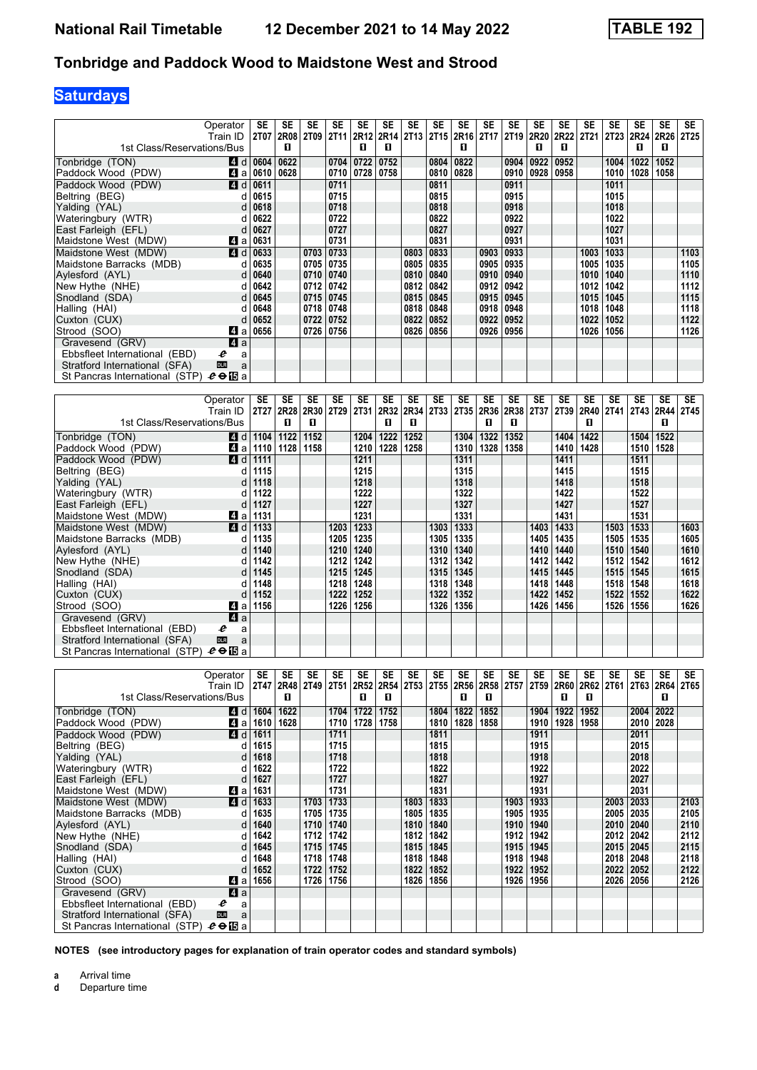# **Saturdays**

|                                                                | Operator<br>Train ID      | <b>SE</b>    | <b>SE</b><br>2T07 2R08 | SE<br>2T09 | <b>SE</b><br><b>2T11</b> | SE<br><b>2R12</b> | <b>SE</b>            | SE                   | SE        | SE<br>2R14 2T13 2T15 2R16 | SE<br><b>2T17</b> | <b>SE</b><br>2T19 2R20 | SE        | <b>SE</b><br>2R22 | <b>SE</b><br>2T21 | <b>SE</b><br>2T23 | SE<br>2R24   | SE<br>2R26 2T25 | SE        |
|----------------------------------------------------------------|---------------------------|--------------|------------------------|------------|--------------------------|-------------------|----------------------|----------------------|-----------|---------------------------|-------------------|------------------------|-----------|-------------------|-------------------|-------------------|--------------|-----------------|-----------|
| 1st Class/Reservations/Bus                                     |                           |              | п                      |            |                          | п                 | п                    |                      |           | п                         |                   |                        | п         | п                 |                   |                   | п            | п               |           |
| Tonbridge (TON)                                                | 4 d                       | 0604         | 0622                   |            | 0704                     | 0722              | 0752                 |                      | 0804      | 0822                      |                   | 0904                   | 0922      | 0952              |                   | 1004              | 1022         | 1052            |           |
| Paddock Wood (PDW)                                             | 41 a                      | 0610         | 0628                   |            | 0710                     | 0728              | 0758                 |                      | 0810      | 0828                      |                   | 0910                   | 0928      | 0958              |                   | 1010              | 1028         | 1058            |           |
| Paddock Wood (PDW)                                             | ZI d                      | 0611         |                        |            | 0711                     |                   |                      |                      | 0811      |                           |                   | 0911                   |           |                   |                   | 1011              |              |                 |           |
| Beltring (BEG)                                                 | d                         | 0615         |                        |            | 0715                     |                   |                      |                      | 0815      |                           |                   | 0915                   |           |                   |                   | 1015              |              |                 |           |
| Yalding (YAL)                                                  | d                         | 0618         |                        |            | 0718                     |                   |                      |                      | 0818      |                           |                   | 0918                   |           |                   |                   | 1018              |              |                 |           |
| Wateringbury (WTR)                                             | d                         | 0622         |                        |            | 0722                     |                   |                      |                      | 0822      |                           |                   | 0922                   |           |                   |                   | 1022              |              |                 |           |
| East Farleigh (EFL)                                            | d                         | 0627         |                        |            | 0727                     |                   |                      |                      | 0827      |                           |                   | 0927                   |           |                   |                   | 1027              |              |                 |           |
| Maidstone West (MDW)                                           | L4 a                      | 0631         |                        |            | 0731                     |                   |                      |                      | 0831      |                           |                   | 0931                   |           |                   |                   | 1031              |              |                 |           |
| Maidstone West (MDW)                                           | $\blacksquare$ d          | 0633         |                        | 0703       | 0733                     |                   |                      | 0803                 | 0833      |                           | 0903              | 0933                   |           |                   | 1003              | 1033              |              |                 | 1103      |
| Maidstone Barracks (MDB)                                       | d                         | 0635         |                        | 0705       | 0735                     |                   |                      | 0805 0835            |           |                           | 0905              | 0935                   |           |                   | 1005              | 1035              |              |                 | 1105      |
| Aylesford (AYL)                                                | d                         | 0640         |                        | 0710       | 0740                     |                   |                      | 0810 0840            |           |                           | 0910              | 0940                   |           |                   | 1010              | 1040              |              |                 | 1110      |
| New Hythe (NHE)                                                | d                         | 0642         |                        | 0712       | 0742                     |                   |                      | 0812                 | 0842      |                           | 0912              | 0942                   |           |                   | 1012              | 1042              |              |                 | 1112      |
| Snodland (SDA)                                                 | d                         | 0645         |                        | 0715       | 0745                     |                   |                      | 0815 0845            |           |                           | 0915              | 0945                   |           |                   | 1015              | 1045              |              |                 | 1115      |
| Halling (HAI)                                                  | d                         | 0648         |                        | 0718       | 0748                     |                   |                      | 0818                 | 0848      |                           | 0918              | 0948                   |           |                   | 1018              | 1048              |              |                 | 1118      |
| Cuxton (CUX)                                                   | d                         | 0652         |                        | 0722       | 0752                     |                   |                      | 0822                 | 0852      |                           | 0922              | 0952                   |           |                   | 1022              | 1052              |              |                 | 1122      |
| Strood (SOO)                                                   | 4 a                       | 0656         |                        | 0726       | 0756                     |                   |                      | 0826 0856            |           |                           | 0926              | 0956                   |           |                   | 1026              | 1056              |              |                 | 1126      |
| Gravesend (GRV)                                                | a                         |              |                        |            |                          |                   |                      |                      |           |                           |                   |                        |           |                   |                   |                   |              |                 |           |
| Ebbsfleet International (EBD)<br>Stratford International (SFA) | e<br>a<br><b>DLR</b><br>a |              |                        |            |                          |                   |                      |                      |           |                           |                   |                        |           |                   |                   |                   |              |                 |           |
| St Pancras International (STP) $e \oplus E$ a                  |                           |              |                        |            |                          |                   |                      |                      |           |                           |                   |                        |           |                   |                   |                   |              |                 |           |
|                                                                |                           |              |                        |            |                          |                   |                      |                      |           |                           |                   |                        |           |                   |                   |                   |              |                 |           |
|                                                                |                           |              |                        |            |                          |                   |                      |                      |           |                           |                   |                        |           |                   |                   |                   |              |                 |           |
|                                                                |                           |              |                        |            |                          |                   |                      |                      |           |                           |                   |                        |           |                   |                   |                   |              |                 |           |
|                                                                | Operator                  | <b>SE</b>    | SE                     | <b>SE</b>  | <b>SE</b>                | <b>SE</b>         | <b>SE</b>            | <b>SE</b>            | <b>SE</b> | <b>SE</b>                 | <b>SE</b>         | <b>SE</b>              | <b>SE</b> | <b>SE</b>         | <b>SE</b>         | SE                | <b>SE</b>    | <b>SE</b>       | <b>SE</b> |
| 1st Class/Reservations/Bus                                     | Train ID                  |              | 2T27 2R28<br>п         | 2R30<br>п  | 2T29                     | 2T31              | 2R32<br>$\mathbf{u}$ | 2R34<br>$\mathbf{u}$ | 2T33      |                           | 2T35 2R36<br>п    | 2R38<br>п              | 2T37      | 2T39              | 2R40<br>п         | <b>2T41</b>       | 2T43         | 2R44<br>п       | 2T45      |
|                                                                |                           |              |                        |            |                          |                   |                      |                      |           |                           |                   |                        |           |                   |                   |                   |              |                 |           |
| Tonbridge (TON)                                                | ZI d                      | 1104         | 1122                   | 1152       |                          | 1204              | 1222                 | 1252                 |           | 1304                      | 1322              | 1352                   |           | 1404              | 1422              |                   | 1504         | 1522            |           |
| Paddock Wood (PDW)                                             | ZI a                      | 1110         | 1128                   | 1158       |                          | 1210              | 1228                 | 1258                 |           | 1310                      | 1328              | 1358                   |           | 1410              | 1428              |                   | 1510         | 1528            |           |
| Paddock Wood (PDW)                                             | 4 d                       | 1111         |                        |            |                          | 1211              |                      |                      |           | 1311                      |                   |                        |           | 1411              |                   |                   | 1511         |                 |           |
| Beltring (BEG)                                                 | d                         | 1115         |                        |            |                          | 1215              |                      |                      |           | 1315                      |                   |                        |           | 1415              |                   |                   | 1515         |                 |           |
| Yalding (YAL)                                                  | d<br>d                    | 1118         |                        |            |                          | 1218              |                      |                      |           | 1318                      |                   |                        |           | 1418<br>1422      |                   |                   | 1518         |                 |           |
| Wateringbury (WTR)                                             | d                         | 1122<br>1127 |                        |            |                          | 1222<br>1227      |                      |                      |           | 1322                      |                   |                        |           | 1427              |                   |                   | 1522<br>1527 |                 |           |
| East Farleigh (EFL)<br>Maidstone West (MDW)                    |                           | 1131         |                        |            |                          | 1231              |                      |                      |           | 1327<br>1331              |                   |                        |           | 1431              |                   |                   | 1531         |                 |           |
| Maidstone West (MDW)                                           | ZI a<br>ZI d              | 1133         |                        |            | 1203                     | 1233              |                      |                      | 1303      | 1333                      |                   |                        | 1403      | 1433              |                   | 1503              | 1533         |                 | 1603      |
| Maidstone Barracks (MDB)                                       | d                         | 1135         |                        |            | 1205                     | 1235              |                      |                      | 1305      | 1335                      |                   |                        | 1405      | 1435              |                   | 1505              | 1535         |                 | 1605      |
| Aylesford (AYL)                                                | d                         | 1140         |                        |            | 1210                     | 1240              |                      |                      | 1310      | 1340                      |                   |                        | 1410      | 1440              |                   | 1510              | 1540         |                 | 1610      |
| New Hythe (NHE)                                                | d                         | 1142         |                        |            | 1212                     | 1242              |                      |                      | 1312      | 1342                      |                   |                        | 1412      | 1442              |                   | 1512              | 1542         |                 | 1612      |
| Snodland (SDA)                                                 | d                         | 1145         |                        |            | 1215                     | 1245              |                      |                      | 1315      | 1345                      |                   |                        | 1415      | 1445              |                   | 1515              | 1545         |                 | 1615      |
| Halling (HAI)                                                  | d                         | 1148         |                        |            | 1218                     | 1248              |                      |                      | 1318      | 1348                      |                   |                        | 1418      | 1448              |                   | 1518              | 1548         |                 | 1618      |
| Cuxton (CUX)                                                   | d                         | 1152         |                        |            | 1222                     | 1252              |                      |                      | 1322      | 1352                      |                   |                        | 1422      | 1452              |                   | 1522              | 1552         |                 | 1622      |
| Strood (SOO)                                                   | Z1 a                      | 1156         |                        |            | 1226                     | 1256              |                      |                      | 1326      | 1356                      |                   |                        | 1426      | 1456              |                   | 1526              | 1556         |                 | 1626      |
| Gravesend (GRV)                                                | a                         |              |                        |            |                          |                   |                      |                      |           |                           |                   |                        |           |                   |                   |                   |              |                 |           |
| Ebbsfleet International (EBD)                                  | e<br>a                    |              |                        |            |                          |                   |                      |                      |           |                           |                   |                        |           |                   |                   |                   |              |                 |           |
| Stratford International (SFA)                                  | <b>DLR</b><br>a           |              |                        |            |                          |                   |                      |                      |           |                           |                   |                        |           |                   |                   |                   |              |                 |           |
| St Pancras International (STP)                                 | $e \oplus E$ a            |              |                        |            |                          |                   |                      |                      |           |                           |                   |                        |           |                   |                   |                   |              |                 |           |

|                                | Operator        | <b>SE</b>   | SE   | <b>SE</b> | <b>SE</b> | <b>SE</b> | <b>SE</b> | <b>SE</b>                     | <b>SE</b> | <b>SE</b> | <b>SE</b> | <b>SE</b>        | <b>SE</b>   | <b>SE</b> | <b>SE</b>   | <b>SE</b> | SE          | <b>SE</b> | SE   |
|--------------------------------|-----------------|-------------|------|-----------|-----------|-----------|-----------|-------------------------------|-----------|-----------|-----------|------------------|-------------|-----------|-------------|-----------|-------------|-----------|------|
|                                | Train ID        | <b>2T47</b> | 2R48 | 2T49 2T51 |           |           |           | 2R52 2R54 2T53 2T55 2R56 2R58 |           |           |           | 2T <sub>57</sub> | <b>2T59</b> | 2R60      | <b>2R62</b> | 2T61      | <b>2T63</b> | 2R64      | 2T65 |
| 1st Class/Reservations/Bus     |                 |             | п    |           |           | п         | п         |                               |           | п         | п         |                  |             | П         | п           |           |             | п         |      |
| Tonbridge (TON)                | 4 d             | 1604        | 1622 |           | 1704      | 1722      | 1752      |                               | 1804      | 1822      | 1852      |                  | 1904        | 1922      | 1952        |           | 2004        | 2022      |      |
| Paddock Wood (PDW)             | 41 a            | 1610        | 1628 |           | 1710      | 1728      | 1758      |                               | 1810      | 1828      | 1858      |                  | 1910        | 1928      | 1958        |           | 2010        | 2028      |      |
| Paddock Wood (PDW)             | 4 d             | 1611        |      |           | 1711      |           |           |                               | 1811      |           |           |                  | 1911        |           |             |           | 2011        |           |      |
| Beltring (BEG)                 |                 | 1615        |      |           | 1715      |           |           |                               | 1815      |           |           |                  | 1915        |           |             |           | 2015        |           |      |
| Yalding (YAL)                  |                 | 1618        |      |           | 1718      |           |           |                               | 1818      |           |           |                  | 1918        |           |             |           | 2018        |           |      |
| Wateringbury (WTR)             |                 | 1622        |      |           | 1722      |           |           |                               | 1822      |           |           |                  | 1922        |           |             |           | 2022        |           |      |
| East Farleigh (EFL)            |                 | 1627        |      |           | 1727      |           |           |                               | 1827      |           |           |                  | 1927        |           |             |           | 2027        |           |      |
| Maidstone West (MDW)           | 41 a            | 1631        |      |           | 1731      |           |           |                               | 1831      |           |           |                  | 1931        |           |             |           | 2031        |           |      |
| Maidstone West (MDW)           | 4 d             | 1633        |      | 1703      | 1733      |           |           | 1803                          | 1833      |           |           | 1903             | 1933        |           |             | 2003      | 2033        |           | 2103 |
| Maidstone Barracks (MDB)       |                 | 1635        |      | 1705      | 1735      |           |           | 1805                          | 1835      |           |           | 1905             | 1935        |           |             | 2005      | 2035        |           | 2105 |
| Aylesford (AYL)                |                 | 1640        |      | 1710      | 1740      |           |           | 1810                          | 1840      |           |           | 1910             | 1940        |           |             | 2010      | 2040        |           | 2110 |
| New Hythe (NHE)                |                 | 1642        |      | 1712      | 1742      |           |           | 1812                          | 1842      |           |           | 1912             | 1942        |           |             | 2012      | 2042        |           | 2112 |
| Snodland (SDA)                 | <sub>d</sub>    | 1645        |      | 1715      | 1745      |           |           | 1815                          | 1845      |           |           | 1915             | 1945        |           |             | 2015      | 2045        |           | 2115 |
| Halling (HAI)                  |                 | 1648        |      | 1718      | 1748      |           |           | 1818                          | 1848      |           |           | 1918             | 1948        |           |             | 2018      | 2048        |           | 2118 |
| Cuxton (CUX)                   |                 | 1652        |      | 1722      | 1752      |           |           | 1822                          | 1852      |           |           | 1922             | 1952        |           |             | 2022      | 2052        |           | 2122 |
| Strood (SOO)                   | ZI a            | 1656        |      | 1726      | 1756      |           |           | 1826                          | 1856      |           |           | 1926             | 1956        |           |             | 2026      | 2056        |           | 2126 |
| Gravesend (GRV)                | $\mathbf{A}$ a  |             |      |           |           |           |           |                               |           |           |           |                  |             |           |             |           |             |           |      |
| Ebbsfleet International (EBD)  | e<br>a          |             |      |           |           |           |           |                               |           |           |           |                  |             |           |             |           |             |           |      |
| Stratford International (SFA)  | <b>DLR</b><br>a |             |      |           |           |           |           |                               |           |           |           |                  |             |           |             |           |             |           |      |
| St Pancras International (STP) | $e \oplus E$ a  |             |      |           |           |           |           |                               |           |           |           |                  |             |           |             |           |             |           |      |

**NOTES (see introductory pages for explanation of train operator codes and standard symbols)**

**a** Arrival time<br>**d** Departure t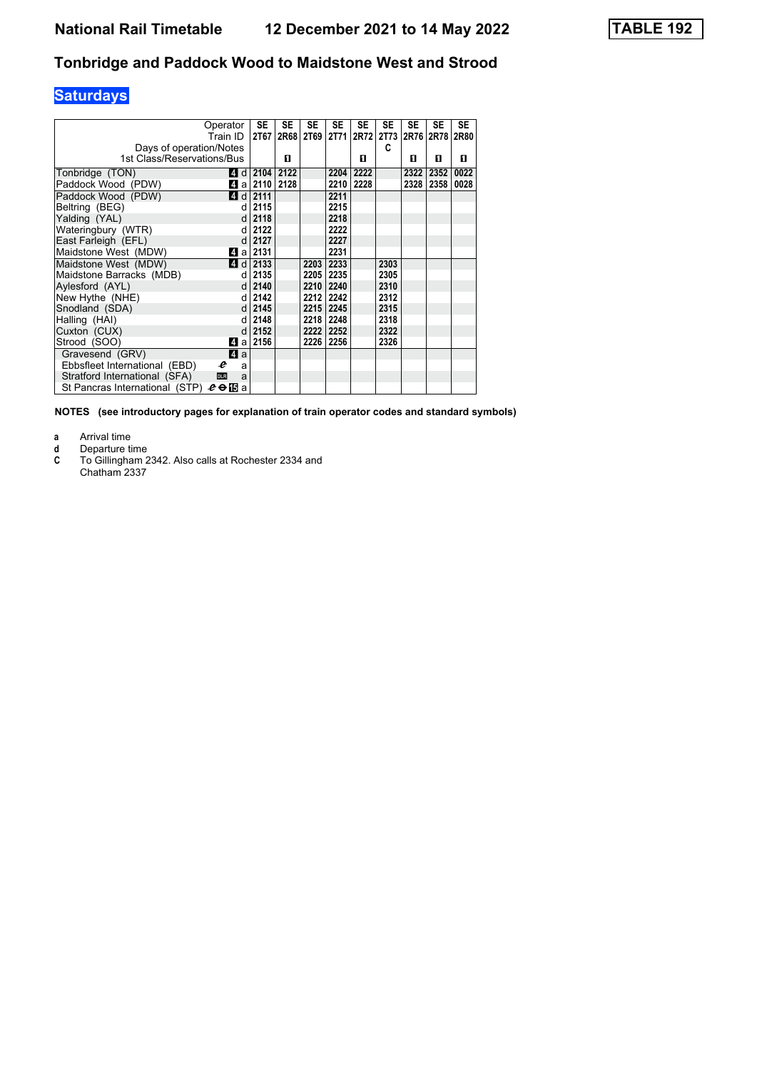### **Saturdays**

|                                | Operator<br>Train ID | SE<br>2T67                     | <b>SE</b> | <b>SE</b> | <b>SE</b> | <b>SE</b><br>2R68 2T69 2T71 2R72 2T73 2R76 2R78 2R80 | <b>SE</b> | <b>SE</b> | <b>SE</b> | <b>SE</b> |
|--------------------------------|----------------------|--------------------------------|-----------|-----------|-----------|------------------------------------------------------|-----------|-----------|-----------|-----------|
| Days of operation/Notes        |                      |                                |           |           |           |                                                      | C         |           |           |           |
| 1st Class/Reservations/Bus     |                      |                                | п         |           |           | п                                                    |           | п         | п         | п         |
| Tonbridge (TON)                |                      | $\blacksquare$ d   2104        | 2122      |           | 2204      | 2222                                                 |           | 2322      | 2352      | 0022      |
| Paddock Wood (PDW)             |                      | $\blacksquare$ a   2110   2128 |           |           | 2210      | 2228                                                 |           | 2328      | 2358      | 0028      |
| Paddock Wood (PDW)             |                      | $d$ d 2111                     |           |           | 2211      |                                                      |           |           |           |           |
| Beltring (BEG)                 | d                    | 2115                           |           |           | 2215      |                                                      |           |           |           |           |
| Yalding (YAL)                  | d                    | 2118                           |           |           | 2218      |                                                      |           |           |           |           |
| Wateringbury (WTR)             | d                    | 2122                           |           |           | 2222      |                                                      |           |           |           |           |
| East Farleigh (EFL)            | $\mathsf{d}$         | 2127                           |           |           | 2227      |                                                      |           |           |           |           |
| Maidstone West (MDW)           | L4la l               | 2131                           |           |           | 2231      |                                                      |           |           |           |           |
| Maidstone West (MDW)           |                      | $\blacksquare$ d   2133        |           | 2203      | 2233      |                                                      | 2303      |           |           |           |
| Maidstone Barracks (MDB)       | d.                   | 2135                           |           | 2205 2235 |           |                                                      | 2305      |           |           |           |
| Avlesford (AYL)                | <sub>d</sub>         | 2140                           |           |           | 2210 2240 |                                                      | 2310      |           |           |           |
| New Hythe (NHE)                | d.                   | 2142                           |           |           | 2212 2242 |                                                      | 2312      |           |           |           |
| Snodland (SDA)                 | $\mathsf{d}$         | 2145                           |           |           | 2215 2245 |                                                      | 2315      |           |           |           |
| Halling (HAI)                  | d                    | 2148                           |           | 2218 2248 |           |                                                      | 2318      |           |           |           |
| Cuxton (CUX)                   | d                    | 2152                           |           |           | 2222 2252 |                                                      | 2322      |           |           |           |
| Strood (SOO)                   | 41 a l               | 2156                           |           | 2226 2256 |           |                                                      | 2326      |           |           |           |
| Gravesend (GRV)                | ZI a                 |                                |           |           |           |                                                      |           |           |           |           |
| Ebbsfleet International (EBD)  | e<br>a               |                                |           |           |           |                                                      |           |           |           |           |
| Stratford International (SFA)  | <b>DLR</b><br>a      |                                |           |           |           |                                                      |           |           |           |           |
| St Pancras International (STP) | $e \oplus E$ a       |                                |           |           |           |                                                      |           |           |           |           |

**NOTES (see introductory pages for explanation of train operator codes and standard symbols)**

**a** Arrival time<br>**d** Departure t

**d** Departure time<br>**C** To Gillingham 2

To Gillingham 2342. Also calls at Rochester 2334 and Chatham 2337